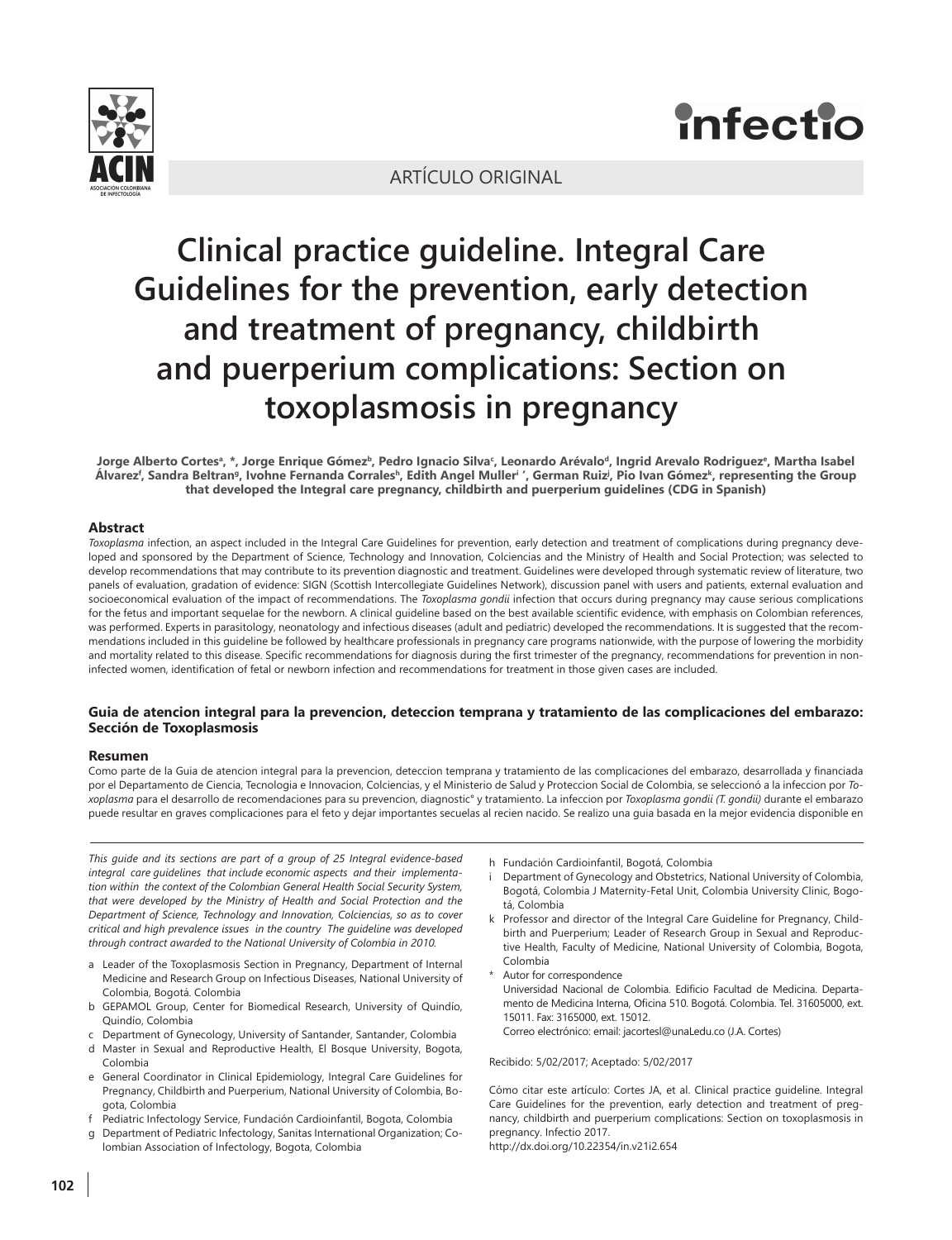

# **Infectio**

# ARTÍCULO ORIGINAL

# **Clinical practice guideline. Integral Care Guidelines for the prevention, early detection and treatment of pregnancy, childbirth and puerperium complications: Section on toxoplasmosis in pregnancy**

Jorge Alberto Cortesª, \*, Jorge Enrique Gómez<sup>ь</sup>, Pedro Ignacio Silvaʿ, Leonardo Arévaloª, Ingrid Arevalo Rodriguezº, Martha Isabel Alvarez<sup>f</sup>, Sandra Beltranª, Ivohne Fernanda Corralesʰ, Edith Angel Mullerʲ ', German Ruizʲ, Pio Ivan Gómezʰ, representing the Group **that developed the Integral care pregnancy, childbirth and puerperium guidelines (CDG in Spanish)**

#### **Abstract**

*Toxoplasma* infection, an aspect included in the Integral Care Guidelines for prevention, early detection and treatment of complications during pregnancy developed and sponsored by the Department of Science, Technology and Innovation, Colciencias and the Ministry of Health and Social Protection; was selected to develop recommendations that may contribute to its prevention diagnostic and treatment. Guidelines were developed through systematic review of literature, two panels of evaluation, gradation of evidence: SIGN (Scottish Intercollegiate Guidelines Network), discussion panel with users and patients, external evaluation and socioeconomical evaluation of the impact of recommendations. The *Toxoplasma gondii* infection that occurs during pregnancy may cause serious complications for the fetus and important sequelae for the newborn. A clinical guideline based on the best available scientific evidence, with emphasis on Colombian references, was performed. Experts in parasitology, neonatology and infectious diseases (adult and pediatric) developed the recommendations. It is suggested that the recommendations included in this guideline be followed by healthcare professionals in pregnancy care programs nationwide, with the purpose of lowering the morbidity and mortality related to this disease. Specific recommendations for diagnosis during the first trimester of the pregnancy, recommendations for prevention in noninfected women, identification of fetal or newborn infection and recommendations for treatment in those given cases are included.

#### **Guia de atencion integral para la prevencion, deteccion temprana y tratamiento de las complicaciones del embarazo: Sección de Toxoplasmosis**

#### **Resumen**

Como parte de la Guia de atencion integral para la prevencion, deteccion temprana y tratamiento de las complicaciones del embarazo, desarrollada y financiada por el Departamento de Ciencia, Tecnologia e Innovacion, Colciencias, y el Ministerio de Salud y Proteccion Social de Colombia, se seleccionó a la infeccion por *Toxoplasma* para el desarrollo de recomendaciones para su prevencion, diagnostic° y tratamiento. La infeccion por *Toxoplasma gondii (T. gondii)* durante el embarazo puede resultar en graves complicaciones para el feto y dejar importantes secuelas al recien nacido. Se realizo una guia basada en la mejor evidencia disponible en

*This guide and its sections are part of a group of 25 Integral evidence-based integral care guidelines that include economic aspects and their implementation within the context of the Colombian General Health Social Security System, that were developed by the Ministry of Health and Social Protection and the Department of Science, Technology and Innovation, Colciencias, so as to cover critical and high prevalence issues in the country The guideline was developed through contract awarded to the National University of Colombia in 2010.*

- a Leader of the Toxoplasmosis Section in Pregnancy, Department of Internal Medicine and Research Group on Infectious Diseases, National University of Colombia, Bogotá. Colombia
- b GEPAMOL Group, Center for Biomedical Research, University of Quindío, Quindío, Colombia
- c Department of Gynecology, University of Santander, Santander, Colombia
- d Master in Sexual and Reproductive Health, El Bosque University, Bogota, Colombia
- e General Coordinator in Clinical Epidemiology, Integral Care Guidelines for Pregnancy, Childbirth and Puerperium, National University of Colombia, Bogota, Colombia
- f Pediatric Infectology Service, Fundación Cardioinfantil, Bogota, Colombia
- g Department of Pediatric Infectology, Sanitas International Organization; Colombian Association of Infectology, Bogota, Colombia
- h Fundación Cardioinfantil, Bogotá, Colombia
- i Department of Gynecology and Obstetrics, National University of Colombia, Bogotá, Colombia J Maternity-Fetal Unit, Colombia University Clinic, Bogotá, Colombia
- k Professor and director of the Integral Care Guideline for Pregnancy, Childbirth and Puerperium; Leader of Research Group in Sexual and Reproductive Health, Faculty of Medicine, National University of Colombia, Bogota, Colombia
- Autor for correspondence
- Universidad Nacional de Colombia. Edificio Facultad de Medicina. Departamento de Medicina Interna, Oficina 510. Bogotá. Colombia. Tel. 31605000, ext. 15011. Fax: 3165000, ext. 15012.
- Correo electrónico: email: jacortesl@unaLedu.co (J.A. Cortes)

#### Recibido: 5/02/2017; Aceptado: 5/02/2017

Cómo citar este artículo: Cortes JA, et al. Clinical practice guideline. Integral Care Guidelines for the prevention, early detection and treatment of pregnancy, childbirth and puerperium complications: Section on toxoplasmosis in pregnancy. Infectio 2017.

http://dx.doi.org/10.22354/in.v21i2.654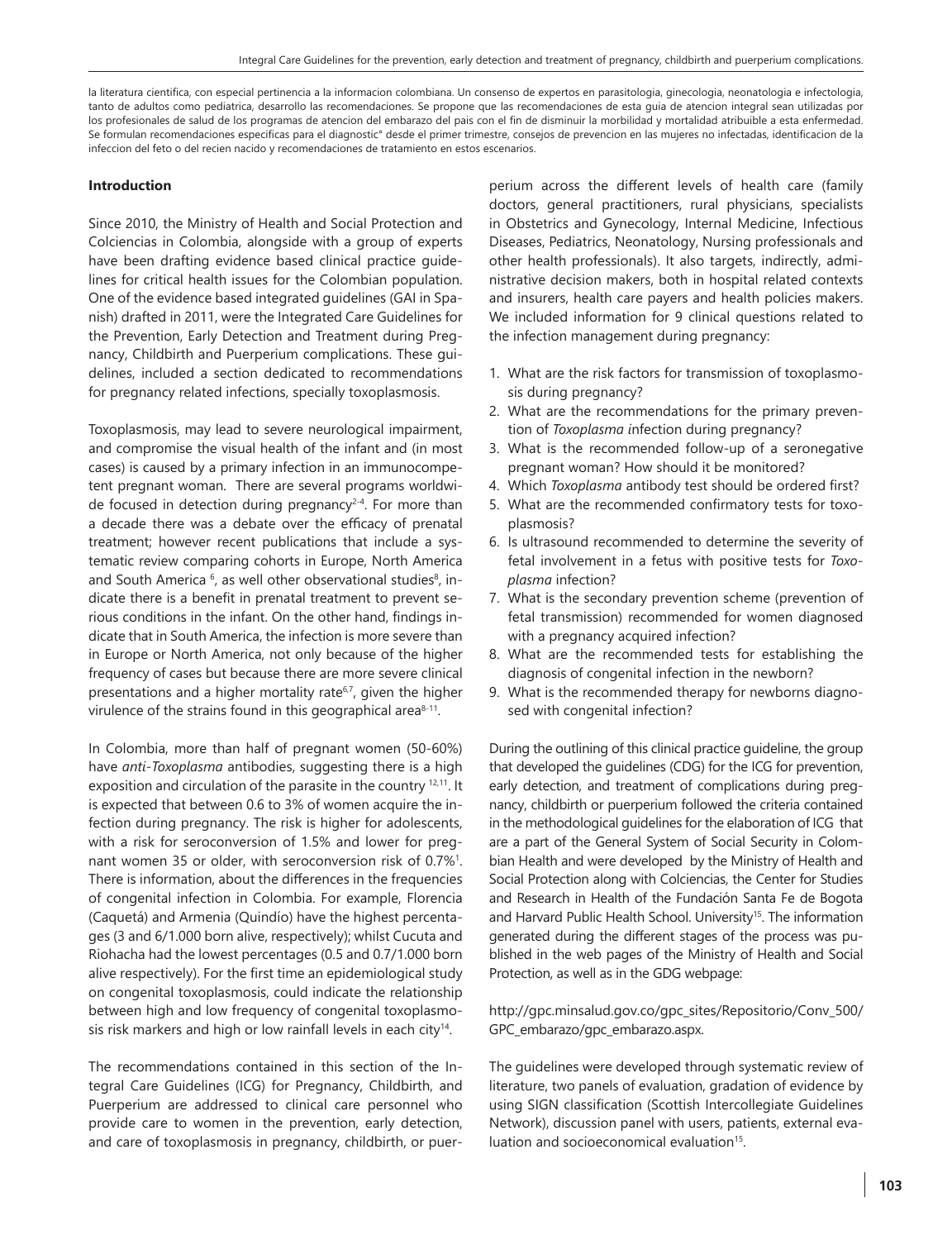la literatura cientifica, con especial pertinencia a la informacion colombiana. Un consenso de expertos en parasitologia, ginecologia, neonatologia e infectologia, tanto de adultos como pediatrica, desarrollo las recomendaciones. Se propone que las recomendaciones de esta guia de atencion integral sean utilizadas por los profesionales de salud de los programas de atencion del embarazo del pais con el fin de disminuir la morbilidad y mortalidad atribuible a esta enfermedad. Se formulan recomendaciones especificas para el diagnostic° desde el primer trimestre, consejos de prevencion en las mujeres no infectadas, identificacion de la infeccion del feto o del recien nacido y recomendaciones de tratamiento en estos escenarios.

#### **Introduction**

Since 2010, the Ministry of Health and Social Protection and Colciencias in Colombia, alongside with a group of experts have been drafting evidence based clinical practice guidelines for critical health issues for the Colombian population. One of the evidence based integrated guidelines (GAI in Spanish) drafted in 2011, were the Integrated Care Guidelines for the Prevention, Early Detection and Treatment during Pregnancy, Childbirth and Puerperium complications. These guidelines, included a section dedicated to recommendations for pregnancy related infections, specially toxoplasmosis.

Toxoplasmosis, may lead to severe neurological impairment, and compromise the visual health of the infant and (in most cases) is caused by a primary infection in an immunocompetent pregnant woman. There are several programs worldwide focused in detection during pregnancy<sup>2-4</sup>. For more than a decade there was a debate over the efficacy of prenatal treatment; however recent publications that include a systematic review comparing cohorts in Europe, North America and South America <sup>6</sup>, as well other observational studies<sup>8</sup>, indicate there is a benefit in prenatal treatment to prevent serious conditions in the infant. On the other hand, findings indicate that in South America, the infection is more severe than in Europe or North America, not only because of the higher frequency of cases but because there are more severe clinical presentations and a higher mortality rate<sup>6,7</sup>, given the higher virulence of the strains found in this geographical area $8-11$ .

In Colombia, more than half of pregnant women (50-60%) have *anti-Toxoplasma* antibodies, suggesting there is a high exposition and circulation of the parasite in the country <sup>12,11</sup>. It is expected that between 0.6 to 3% of women acquire the infection during pregnancy. The risk is higher for adolescents, with a risk for seroconversion of 1.5% and lower for pregnant women 35 or older, with seroconversion risk of 0.7%<sup>1</sup>. There is information, about the differences in the frequencies of congenital infection in Colombia. For example, Florencia (Caquetá) and Armenia (Quindío) have the highest percentages (3 and 6/1.000 born alive, respectively); whilst Cucuta and Riohacha had the lowest percentages (0.5 and 0.7/1.000 born alive respectively). For the first time an epidemiological study on congenital toxoplasmosis, could indicate the relationship between high and low frequency of congenital toxoplasmosis risk markers and high or low rainfall levels in each city<sup>14</sup>.

The recommendations contained in this section of the Integral Care Guidelines (ICG) for Pregnancy, Childbirth, and Puerperium are addressed to clinical care personnel who provide care to women in the prevention, early detection, and care of toxoplasmosis in pregnancy, childbirth, or puerperium across the different levels of health care (family doctors, general practitioners, rural physicians, specialists in Obstetrics and Gynecology, Internal Medicine, Infectious Diseases, Pediatrics, Neonatology, Nursing professionals and other health professionals). It also targets, indirectly, administrative decision makers, both in hospital related contexts and insurers, health care payers and health policies makers. We included information for 9 clinical questions related to the infection management during pregnancy:

- 1. What are the risk factors for transmission of toxoplasmosis during pregnancy?
- 2. What are the recommendations for the primary prevention of *Toxoplasma i*nfection during pregnancy?
- 3. What is the recommended follow-up of a seronegative pregnant woman? How should it be monitored?
- 4. Which *Toxoplasma* antibody test should be ordered first?
- 5. What are the recommended confirmatory tests for toxoplasmosis?
- 6. Is ultrasound recommended to determine the severity of fetal involvement in a fetus with positive tests for *Toxoplasma* infection?
- 7. What is the secondary prevention scheme (prevention of fetal transmission) recommended for women diagnosed with a pregnancy acquired infection?
- 8. What are the recommended tests for establishing the diagnosis of congenital infection in the newborn?
- 9. What is the recommended therapy for newborns diagnosed with congenital infection?

During the outlining of this clinical practice guideline, the group that developed the guidelines (CDG) for the ICG for prevention, early detection, and treatment of complications during pregnancy, childbirth or puerperium followed the criteria contained in the methodological guidelines for the elaboration of ICG that are a part of the General System of Social Security in Colombian Health and were developed by the Ministry of Health and Social Protection along with Colciencias, the Center for Studies and Research in Health of the Fundación Santa Fe de Bogota and Harvard Public Health School. University<sup>15</sup>. The information generated during the different stages of the process was published in the web pages of the Ministry of Health and Social Protection, as well as in the GDG webpage:

http://gpc.minsalud.gov.co/gpc\_sites/Repositorio/Conv\_500/ GPC\_embarazo/gpc\_embarazo.aspx.

The guidelines were developed through systematic review of literature, two panels of evaluation, gradation of evidence by using SIGN classification (Scottish Intercollegiate Guidelines Network), discussion panel with users, patients, external evaluation and socioeconomical evaluation<sup>15</sup>.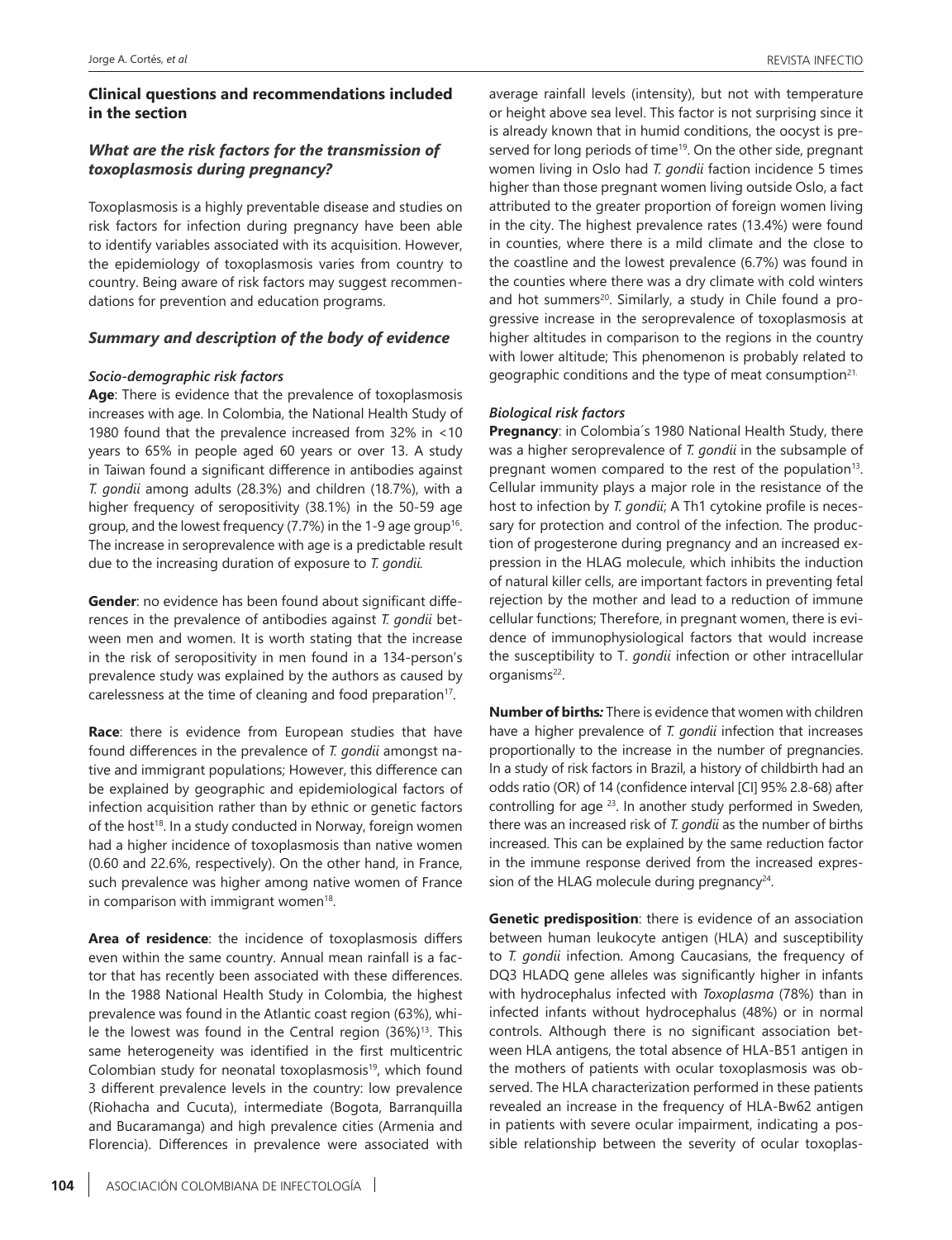# **Clinical questions and recommendations included in the section**

# *What are the risk factors for the transmission of toxoplasmosis during pregnancy?*

Toxoplasmosis is a highly preventable disease and studies on risk factors for infection during pregnancy have been able to identify variables associated with its acquisition. However, the epidemiology of toxoplasmosis varies from country to country. Being aware of risk factors may suggest recommendations for prevention and education programs.

#### *Summary and description of the body of evidence*

#### *Socio-demographic risk factors*

**Age**: There is evidence that the prevalence of toxoplasmosis increases with age. In Colombia, the National Health Study of 1980 found that the prevalence increased from 32% in <10 years to 65% in people aged 60 years or over 13. A study in Taiwan found a significant difference in antibodies against *T. gondii* among adults (28.3%) and children (18.7%), with a higher frequency of seropositivity (38.1%) in the 50-59 age group, and the lowest frequency  $(7.7%)$  in the 1-9 age group<sup>16</sup>. The increase in seroprevalence with age is a predictable result due to the increasing duration of exposure to *T. gondii.*

**Gender**: no evidence has been found about significant differences in the prevalence of antibodies against *T. gondii* between men and women. It is worth stating that the increase in the risk of seropositivity in men found in a 134-person's prevalence study was explained by the authors as caused by carelessness at the time of cleaning and food preparation<sup>17</sup>.

**Race**: there is evidence from European studies that have found differences in the prevalence of *T. gondii* amongst native and immigrant populations; However, this difference can be explained by geographic and epidemiological factors of infection acquisition rather than by ethnic or genetic factors of the host<sup>18</sup>. In a study conducted in Norway, foreign women had a higher incidence of toxoplasmosis than native women (0.60 and 22.6%, respectively). On the other hand, in France, such prevalence was higher among native women of France in comparison with immigrant women $18$ .

**Area of residence**: the incidence of toxoplasmosis differs even within the same country. Annual mean rainfall is a factor that has recently been associated with these differences. In the 1988 National Health Study in Colombia, the highest prevalence was found in the Atlantic coast region (63%), while the lowest was found in the Central region  $(36\%)$ <sup>13</sup>. This same heterogeneity was identified in the first multicentric Colombian study for neonatal toxoplasmosis<sup>19</sup>, which found 3 different prevalence levels in the country: low prevalence (Riohacha and Cucuta), intermediate (Bogota, Barranquilla and Bucaramanga) and high prevalence cities (Armenia and Florencia). Differences in prevalence were associated with average rainfall levels (intensity), but not with temperature or height above sea level. This factor is not surprising since it is already known that in humid conditions, the oocyst is preserved for long periods of time<sup>19</sup>. On the other side, pregnant women living in Oslo had *T. gondii* faction incidence 5 times higher than those pregnant women living outside Oslo, a fact attributed to the greater proportion of foreign women living in the city. The highest prevalence rates (13.4%) were found in counties, where there is a mild climate and the close to the coastline and the lowest prevalence (6.7%) was found in the counties where there was a dry climate with cold winters and hot summers<sup>20</sup>. Similarly, a study in Chile found a progressive increase in the seroprevalence of toxoplasmosis at higher altitudes in comparison to the regions in the country with lower altitude; This phenomenon is probably related to geographic conditions and the type of meat consumption<sup>21.</sup>

#### *Biological risk factors*

**Pregnancy**: in Colombia´s 1980 National Health Study, there was a higher seroprevalence of *T. gondii* in the subsample of pregnant women compared to the rest of the population<sup>13</sup>. Cellular immunity plays a major role in the resistance of the host to infection by *T. gondii*; A Th1 cytokine profile is necessary for protection and control of the infection. The production of progesterone during pregnancy and an increased expression in the HLAG molecule, which inhibits the induction of natural killer cells, are important factors in preventing fetal rejection by the mother and lead to a reduction of immune cellular functions; Therefore, in pregnant women, there is evidence of immunophysiological factors that would increase the susceptibility to T. *gondii* infection or other intracellular organisms<sup>22</sup>.

**Number of births***:* There is evidence that women with children have a higher prevalence of *T. gondii* infection that increases proportionally to the increase in the number of pregnancies. In a study of risk factors in Brazil, a history of childbirth had an odds ratio (OR) of 14 (confidence interval [CI] 95% 2.8-68) after controlling for age <sup>23</sup>. In another study performed in Sweden, there was an increased risk of *T. gondii* as the number of births increased. This can be explained by the same reduction factor in the immune response derived from the increased expression of the HLAG molecule during pregnancy $24$ .

**Genetic predisposition**: there is evidence of an association between human leukocyte antigen (HLA) and susceptibility to *T. gondii* infection. Among Caucasians, the frequency of DQ3 HLADQ gene alleles was significantly higher in infants with hydrocephalus infected with *Toxoplasma* (78%) than in infected infants without hydrocephalus (48%) or in normal controls. Although there is no significant association between HLA antigens, the total absence of HLA-B51 antigen in the mothers of patients with ocular toxoplasmosis was observed. The HLA characterization performed in these patients revealed an increase in the frequency of HLA-Bw62 antigen in patients with severe ocular impairment, indicating a possible relationship between the severity of ocular toxoplas-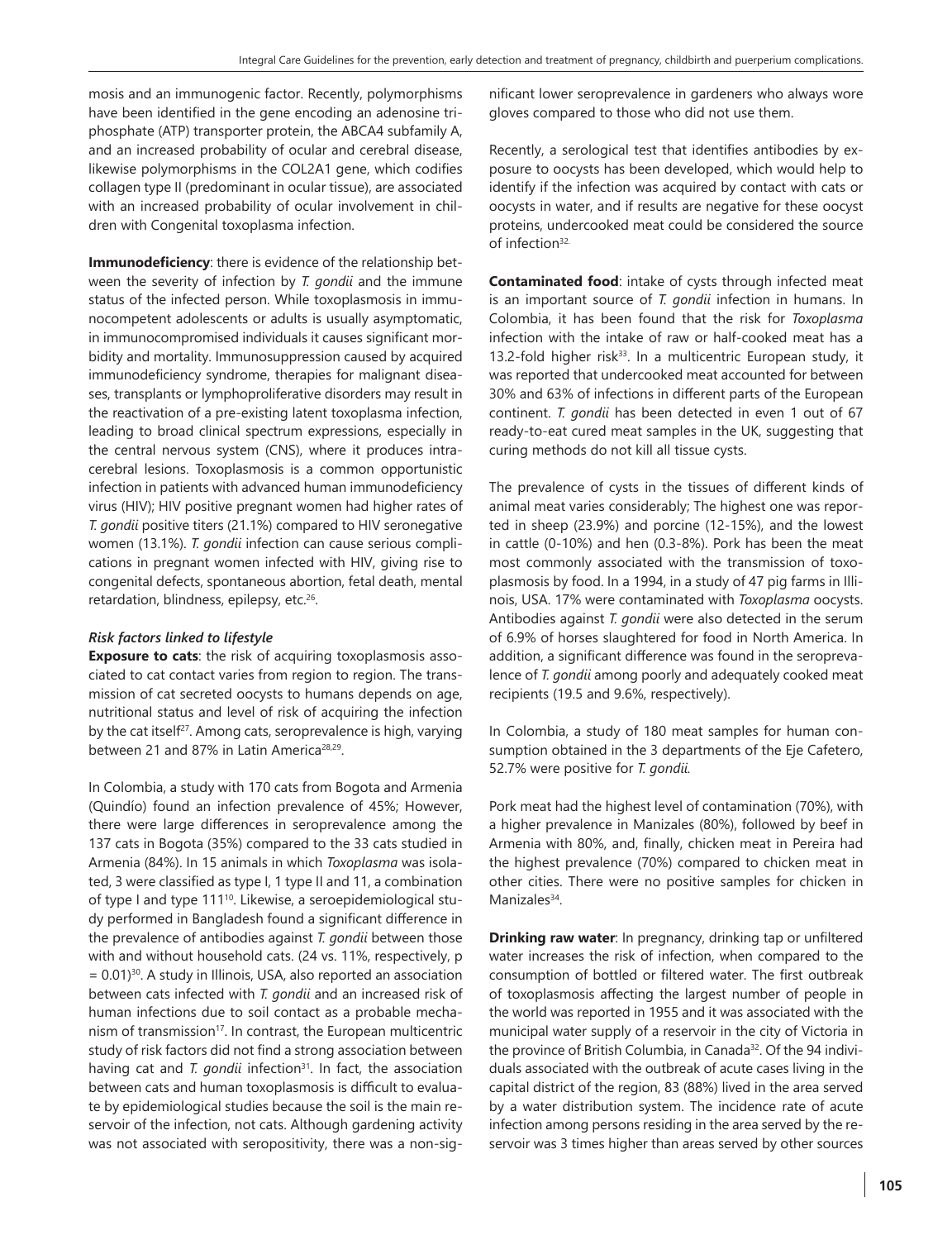mosis and an immunogenic factor. Recently, polymorphisms have been identified in the gene encoding an adenosine triphosphate (ATP) transporter protein, the ABCA4 subfamily A, and an increased probability of ocular and cerebral disease, likewise polymorphisms in the COL2A1 gene, which codifies collagen type II (predominant in ocular tissue), are associated with an increased probability of ocular involvement in children with Congenital toxoplasma infection.

**Immunodeficiency**: there is evidence of the relationship between the severity of infection by *T. gondii* and the immune status of the infected person. While toxoplasmosis in immunocompetent adolescents or adults is usually asymptomatic, in immunocompromised individuals it causes significant morbidity and mortality. Immunosuppression caused by acquired immunodeficiency syndrome, therapies for malignant diseases, transplants or lymphoproliferative disorders may result in the reactivation of a pre-existing latent toxoplasma infection, leading to broad clinical spectrum expressions, especially in the central nervous system (CNS), where it produces intracerebral lesions. Toxoplasmosis is a common opportunistic infection in patients with advanced human immunodeficiency virus (HIV); HIV positive pregnant women had higher rates of *T. gondii* positive titers (21.1%) compared to HIV seronegative women (13.1%). *T. gondii* infection can cause serious complications in pregnant women infected with HIV, giving rise to congenital defects, spontaneous abortion, fetal death, mental retardation, blindness, epilepsy, etc.<sup>26</sup>.

#### *Risk factors linked to lifestyle*

**Exposure to cats**: the risk of acquiring toxoplasmosis associated to cat contact varies from region to region. The transmission of cat secreted oocysts to humans depends on age, nutritional status and level of risk of acquiring the infection by the cat itself<sup>27</sup>. Among cats, seroprevalence is high, varying between 21 and 87% in Latin America<sup>28,29</sup>.

In Colombia, a study with 170 cats from Bogota and Armenia (Quindío) found an infection prevalence of 45%; However, there were large differences in seroprevalence among the 137 cats in Bogota (35%) compared to the 33 cats studied in Armenia (84%). In 15 animals in which *Toxoplasma* was isolated, 3 were classified as type I, 1 type II and 11, a combination of type I and type 111<sup>10</sup>. Likewise, a seroepidemiological study performed in Bangladesh found a significant difference in the prevalence of antibodies against *T. gondii* between those with and without household cats. (24 vs. 11%, respectively, p  $= 0.01$ <sup>30</sup>. A study in Illinois, USA, also reported an association between cats infected with *T. gondii* and an increased risk of human infections due to soil contact as a probable mechanism of transmission<sup>17</sup>. In contrast, the European multicentric study of risk factors did not find a strong association between having cat and *T. gondii* infection<sup>31</sup>. In fact, the association between cats and human toxoplasmosis is difficult to evaluate by epidemiological studies because the soil is the main reservoir of the infection, not cats. Although gardening activity was not associated with seropositivity, there was a non-significant lower seroprevalence in gardeners who always wore gloves compared to those who did not use them.

Recently, a serological test that identifies antibodies by exposure to oocysts has been developed, which would help to identify if the infection was acquired by contact with cats or oocysts in water, and if results are negative for these oocyst proteins, undercooked meat could be considered the source of infection32.

**Contaminated food**: intake of cysts through infected meat is an important source of *T. gondii* infection in humans. In Colombia, it has been found that the risk for *Toxoplasma*  infection with the intake of raw or half-cooked meat has a 13.2-fold higher risk<sup>33</sup>. In a multicentric European study, it was reported that undercooked meat accounted for between 30% and 63% of infections in different parts of the European continent. *T. gondii* has been detected in even 1 out of 67 ready-to-eat cured meat samples in the UK, suggesting that curing methods do not kill all tissue cysts.

The prevalence of cysts in the tissues of different kinds of animal meat varies considerably; The highest one was reported in sheep (23.9%) and porcine (12-15%), and the lowest in cattle (0-10%) and hen (0.3-8%). Pork has been the meat most commonly associated with the transmission of toxoplasmosis by food. In a 1994, in a study of 47 pig farms in Illinois, USA. 17% were contaminated with *Toxoplasma* oocysts. Antibodies against *T. gondii* were also detected in the serum of 6.9% of horses slaughtered for food in North America. In addition, a significant difference was found in the seroprevalence of *T. gondii* among poorly and adequately cooked meat recipients (19.5 and 9.6%, respectively).

In Colombia, a study of 180 meat samples for human consumption obtained in the 3 departments of the Eje Cafetero, 52.7% were positive for *T. gondii.*

Pork meat had the highest level of contamination (70%), with a higher prevalence in Manizales (80%), followed by beef in Armenia with 80%, and, finally, chicken meat in Pereira had the highest prevalence (70%) compared to chicken meat in other cities. There were no positive samples for chicken in Manizales<sup>34</sup>.

**Drinking raw water**: In pregnancy, drinking tap or unfiltered water increases the risk of infection, when compared to the consumption of bottled or filtered water. The first outbreak of toxoplasmosis affecting the largest number of people in the world was reported in 1955 and it was associated with the municipal water supply of a reservoir in the city of Victoria in the province of British Columbia, in Canada<sup>32</sup>. Of the 94 individuals associated with the outbreak of acute cases living in the capital district of the region, 83 (88%) lived in the area served by a water distribution system. The incidence rate of acute infection among persons residing in the area served by the reservoir was 3 times higher than areas served by other sources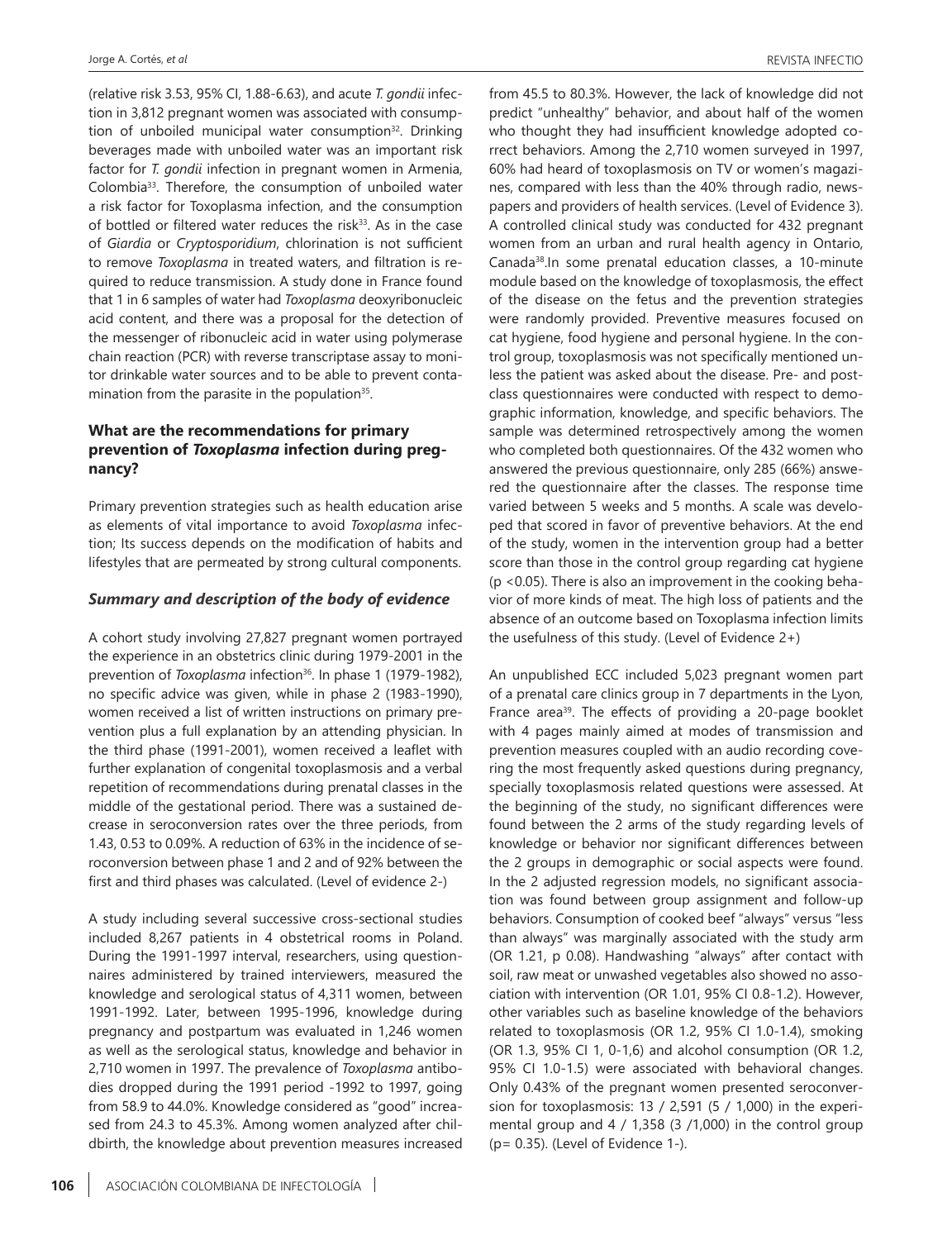(relative risk 3.53, 95% CI, 1.88-6.63), and acute *T. gondii* infection in 3,812 pregnant women was associated with consumption of unboiled municipal water consumption<sup>32</sup>. Drinking beverages made with unboiled water was an important risk factor for *T. gondii* infection in pregnant women in Armenia, Colombia33. Therefore, the consumption of unboiled water a risk factor for Toxoplasma infection, and the consumption of bottled or filtered water reduces the risk<sup>33</sup>. As in the case of *Giardia* or *Cryptosporidium*, chlorination is not sufficient to remove *Toxoplasma* in treated waters, and filtration is required to reduce transmission. A study done in France found that 1 in 6 samples of water had *Toxoplasma* deoxyribonucleic acid content, and there was a proposal for the detection of the messenger of ribonucleic acid in water using polymerase chain reaction (PCR) with reverse transcriptase assay to monitor drinkable water sources and to be able to prevent contamination from the parasite in the population<sup>35</sup>.

# **What are the recommendations for primary prevention of** *Toxoplasma* **infection during pregnancy?**

Primary prevention strategies such as health education arise as elements of vital importance to avoid *Toxoplasma* infection; Its success depends on the modification of habits and lifestyles that are permeated by strong cultural components.

#### *Summary and description of the body of evidence*

A cohort study involving 27,827 pregnant women portrayed the experience in an obstetrics clinic during 1979-2001 in the prevention of *Toxoplasma* infection<sup>36</sup>. In phase 1 (1979-1982), no specific advice was given, while in phase 2 (1983-1990), women received a list of written instructions on primary prevention plus a full explanation by an attending physician. In the third phase (1991-2001), women received a leaflet with further explanation of congenital toxoplasmosis and a verbal repetition of recommendations during prenatal classes in the middle of the gestational period. There was a sustained decrease in seroconversion rates over the three periods, from 1.43, 0.53 to 0.09%. A reduction of 63% in the incidence of seroconversion between phase 1 and 2 and of 92% between the first and third phases was calculated. (Level of evidence 2-)

A study including several successive cross-sectional studies included 8,267 patients in 4 obstetrical rooms in Poland. During the 1991-1997 interval, researchers, using questionnaires administered by trained interviewers, measured the knowledge and serological status of 4,311 women, between 1991-1992. Later, between 1995-1996, knowledge during pregnancy and postpartum was evaluated in 1,246 women as well as the serological status, knowledge and behavior in 2,710 women in 1997. The prevalence of *Toxoplasma* antibodies dropped during the 1991 period -1992 to 1997, going from 58.9 to 44.0%. Knowledge considered as "good" increased from 24.3 to 45.3%. Among women analyzed after childbirth, the knowledge about prevention measures increased from 45.5 to 80.3%. However, the lack of knowledge did not predict "unhealthy" behavior, and about half of the women who thought they had insufficient knowledge adopted correct behaviors. Among the 2,710 women surveyed in 1997, 60% had heard of toxoplasmosis on TV or women's magazines, compared with less than the 40% through radio, newspapers and providers of health services. (Level of Evidence 3). A controlled clinical study was conducted for 432 pregnant women from an urban and rural health agency in Ontario, Canada38.In some prenatal education classes, a 10-minute module based on the knowledge of toxoplasmosis, the effect of the disease on the fetus and the prevention strategies were randomly provided. Preventive measures focused on cat hygiene, food hygiene and personal hygiene. In the control group, toxoplasmosis was not specifically mentioned unless the patient was asked about the disease. Pre- and postclass questionnaires were conducted with respect to demographic information, knowledge, and specific behaviors. The sample was determined retrospectively among the women who completed both questionnaires. Of the 432 women who answered the previous questionnaire, only 285 (66%) answered the questionnaire after the classes. The response time varied between 5 weeks and 5 months. A scale was developed that scored in favor of preventive behaviors. At the end of the study, women in the intervention group had a better score than those in the control group regarding cat hygiene (p <0.05). There is also an improvement in the cooking behavior of more kinds of meat. The high loss of patients and the absence of an outcome based on Toxoplasma infection limits the usefulness of this study. (Level of Evidence 2+)

An unpublished ECC included 5,023 pregnant women part of a prenatal care clinics group in 7 departments in the Lyon, France area<sup>39</sup>. The effects of providing a 20-page booklet with 4 pages mainly aimed at modes of transmission and prevention measures coupled with an audio recording covering the most frequently asked questions during pregnancy, specially toxoplasmosis related questions were assessed. At the beginning of the study, no significant differences were found between the 2 arms of the study regarding levels of knowledge or behavior nor significant differences between the 2 groups in demographic or social aspects were found. In the 2 adjusted regression models, no significant association was found between group assignment and follow-up behaviors. Consumption of cooked beef "always" versus "less than always" was marginally associated with the study arm (OR 1.21, p 0.08). Handwashing "always" after contact with soil, raw meat or unwashed vegetables also showed no association with intervention (OR 1.01, 95% CI 0.8-1.2). However, other variables such as baseline knowledge of the behaviors related to toxoplasmosis (OR 1.2, 95% CI 1.0-1.4), smoking (OR 1.3, 95% CI 1, 0-1,6) and alcohol consumption (OR 1.2, 95% CI 1.0-1.5) were associated with behavioral changes. Only 0.43% of the pregnant women presented seroconversion for toxoplasmosis: 13 / 2,591 (5 / 1,000) in the experimental group and 4 / 1,358 (3 /1,000) in the control group (p= 0.35). (Level of Evidence 1-).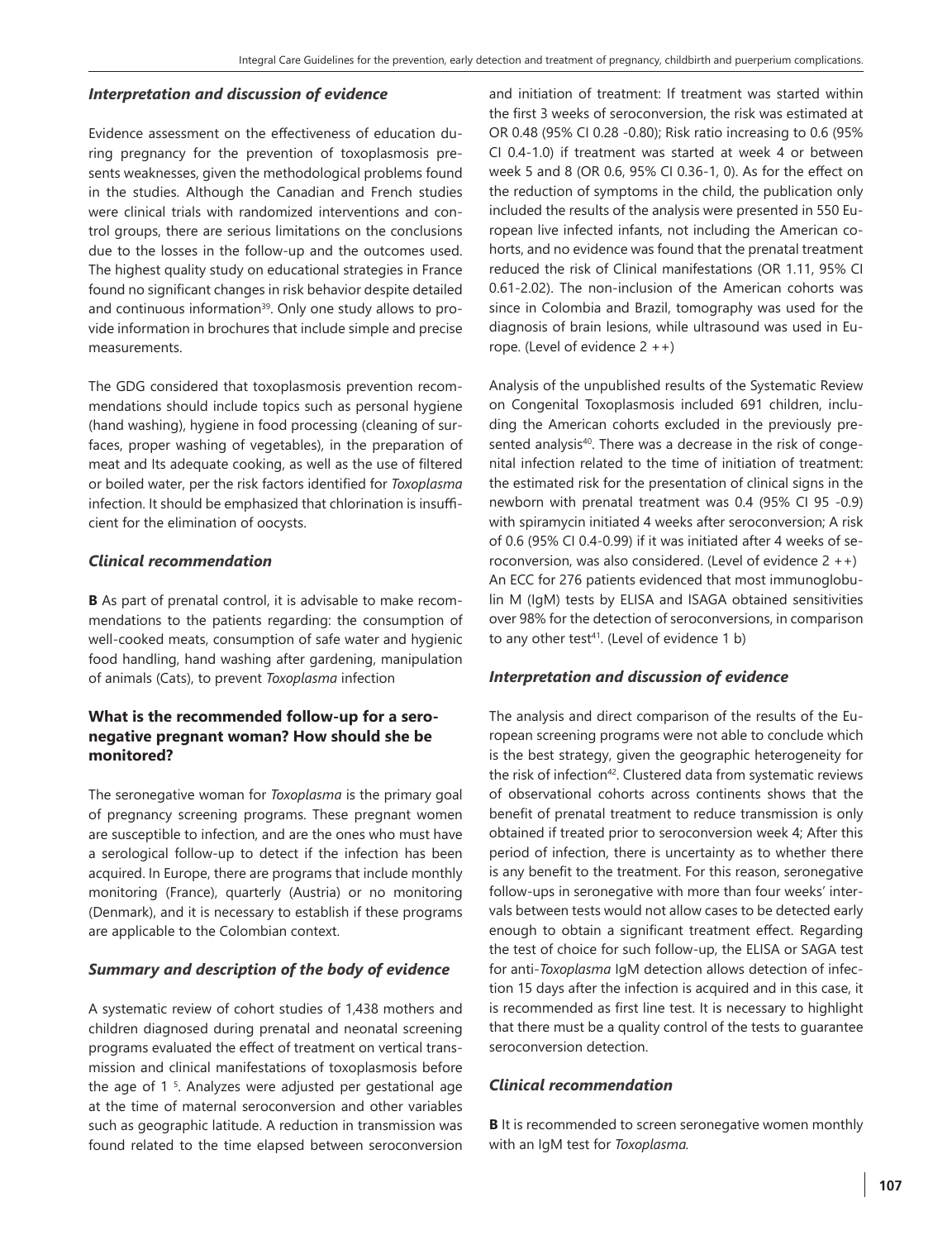#### *Interpretation and discussion of evidence*

Evidence assessment on the effectiveness of education during pregnancy for the prevention of toxoplasmosis presents weaknesses, given the methodological problems found in the studies. Although the Canadian and French studies were clinical trials with randomized interventions and control groups, there are serious limitations on the conclusions due to the losses in the follow-up and the outcomes used. The highest quality study on educational strategies in France found no significant changes in risk behavior despite detailed and continuous information<sup>39</sup>. Only one study allows to provide information in brochures that include simple and precise measurements.

The GDG considered that toxoplasmosis prevention recommendations should include topics such as personal hygiene (hand washing), hygiene in food processing (cleaning of surfaces, proper washing of vegetables), in the preparation of meat and Its adequate cooking, as well as the use of filtered or boiled water, per the risk factors identified for *Toxoplasma* infection. It should be emphasized that chlorination is insufficient for the elimination of oocysts.

#### *Clinical recommendation*

**B** As part of prenatal control, it is advisable to make recommendations to the patients regarding: the consumption of well-cooked meats, consumption of safe water and hygienic food handling, hand washing after gardening, manipulation of animals (Cats), to prevent *Toxoplasma* infection

# **What is the recommended follow-up for a seronegative pregnant woman? How should she be monitored?**

The seronegative woman for *Toxoplasma* is the primary goal of pregnancy screening programs. These pregnant women are susceptible to infection, and are the ones who must have a serological follow-up to detect if the infection has been acquired. In Europe, there are programs that include monthly monitoring (France), quarterly (Austria) or no monitoring (Denmark), and it is necessary to establish if these programs are applicable to the Colombian context.

# *Summary and description of the body of evidence*

A systematic review of cohort studies of 1,438 mothers and children diagnosed during prenatal and neonatal screening programs evaluated the effect of treatment on vertical transmission and clinical manifestations of toxoplasmosis before the age of 1 5 . Analyzes were adjusted per gestational age at the time of maternal seroconversion and other variables such as geographic latitude. A reduction in transmission was found related to the time elapsed between seroconversion

and initiation of treatment: If treatment was started within the first 3 weeks of seroconversion, the risk was estimated at OR 0.48 (95% CI 0.28 -0.80); Risk ratio increasing to 0.6 (95% CI 0.4-1.0) if treatment was started at week 4 or between week 5 and 8 (OR 0.6, 95% CI 0.36-1, 0). As for the effect on the reduction of symptoms in the child, the publication only included the results of the analysis were presented in 550 European live infected infants, not including the American cohorts, and no evidence was found that the prenatal treatment reduced the risk of Clinical manifestations (OR 1.11, 95% CI 0.61-2.02). The non-inclusion of the American cohorts was since in Colombia and Brazil, tomography was used for the diagnosis of brain lesions, while ultrasound was used in Europe. (Level of evidence  $2 + +$ )

Analysis of the unpublished results of the Systematic Review on Congenital Toxoplasmosis included 691 children, including the American cohorts excluded in the previously presented analysis<sup>40</sup>. There was a decrease in the risk of congenital infection related to the time of initiation of treatment: the estimated risk for the presentation of clinical signs in the newborn with prenatal treatment was 0.4 (95% CI 95 -0.9) with spiramycin initiated 4 weeks after seroconversion; A risk of 0.6 (95% CI 0.4-0.99) if it was initiated after 4 weeks of seroconversion, was also considered. (Level of evidence  $2 + +$ ) An ECC for 276 patients evidenced that most immunoglobulin M (IgM) tests by ELISA and ISAGA obtained sensitivities over 98% for the detection of seroconversions, in comparison to any other test<sup>41</sup>. (Level of evidence 1 b)

# *Interpretation and discussion of evidence*

The analysis and direct comparison of the results of the European screening programs were not able to conclude which is the best strategy, given the geographic heterogeneity for the risk of infection<sup>42</sup>. Clustered data from systematic reviews of observational cohorts across continents shows that the benefit of prenatal treatment to reduce transmission is only obtained if treated prior to seroconversion week 4; After this period of infection, there is uncertainty as to whether there is any benefit to the treatment. For this reason, seronegative follow-ups in seronegative with more than four weeks' intervals between tests would not allow cases to be detected early enough to obtain a significant treatment effect. Regarding the test of choice for such follow-up, the ELISA or SAGA test for anti-*Toxoplasma* IgM detection allows detection of infection 15 days after the infection is acquired and in this case, it is recommended as first line test. It is necessary to highlight that there must be a quality control of the tests to guarantee seroconversion detection.

#### *Clinical recommendation*

**B** It is recommended to screen seronegative women monthly with an IgM test for *Toxoplasma.*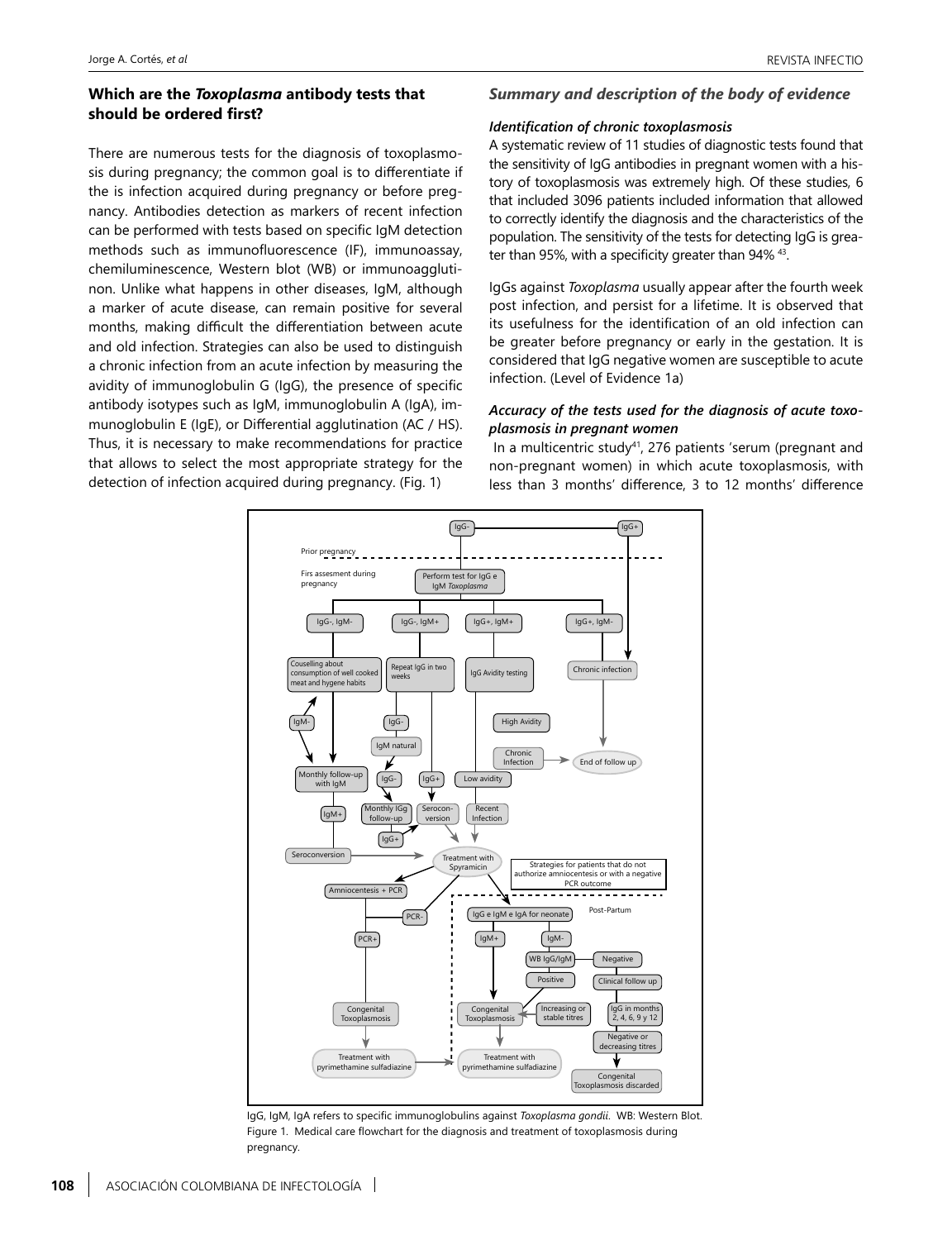# **Which are the** *Toxoplasma* **antibody tests that should be ordered first?**

There are numerous tests for the diagnosis of toxoplasmosis during pregnancy; the common goal is to differentiate if the is infection acquired during pregnancy or before pregnancy. Antibodies detection as markers of recent infection can be performed with tests based on specific IgM detection methods such as immunofluorescence (IF), immunoassay, chemiluminescence, Western blot (WB) or immunoagglutinon. Unlike what happens in other diseases, IgM, although a marker of acute disease, can remain positive for several months, making difficult the differentiation between acute and old infection. Strategies can also be used to distinguish a chronic infection from an acute infection by measuring the avidity of immunoglobulin G (IgG), the presence of specific antibody isotypes such as IgM, immunoglobulin A (IgA), immunoglobulin E (IgE), or Differential agglutination (AC / HS). Thus, it is necessary to make recommendations for practice that allows to select the most appropriate strategy for the detection of infection acquired during pregnancy. (Fig. 1)

#### *Summary and description of the body of evidence*

#### *Identification of chronic toxoplasmosis*

A systematic review of 11 studies of diagnostic tests found that the sensitivity of IgG antibodies in pregnant women with a history of toxoplasmosis was extremely high. Of these studies, 6 that included 3096 patients included information that allowed to correctly identify the diagnosis and the characteristics of the population. The sensitivity of the tests for detecting IgG is greater than 95%, with a specificity greater than 94% 43.

IgGs against *Toxoplasma* usually appear after the fourth week post infection, and persist for a lifetime. It is observed that its usefulness for the identification of an old infection can be greater before pregnancy or early in the gestation. It is considered that IgG negative women are susceptible to acute infection. (Level of Evidence 1a)

#### *Accuracy of the tests used for the diagnosis of acute toxoplasmosis in pregnant women*

In a multicentric study<sup>41</sup>, 276 patients 'serum (pregnant and non-pregnant women) in which acute toxoplasmosis, with less than 3 months' difference, 3 to 12 months' difference



IgG, IgM, IgA refers to specific immunoglobulins against *Toxoplasma gondii*. WB: Western Blot. Figure 1. Medical care flowchart for the diagnosis and treatment of toxoplasmosis during pregnancy.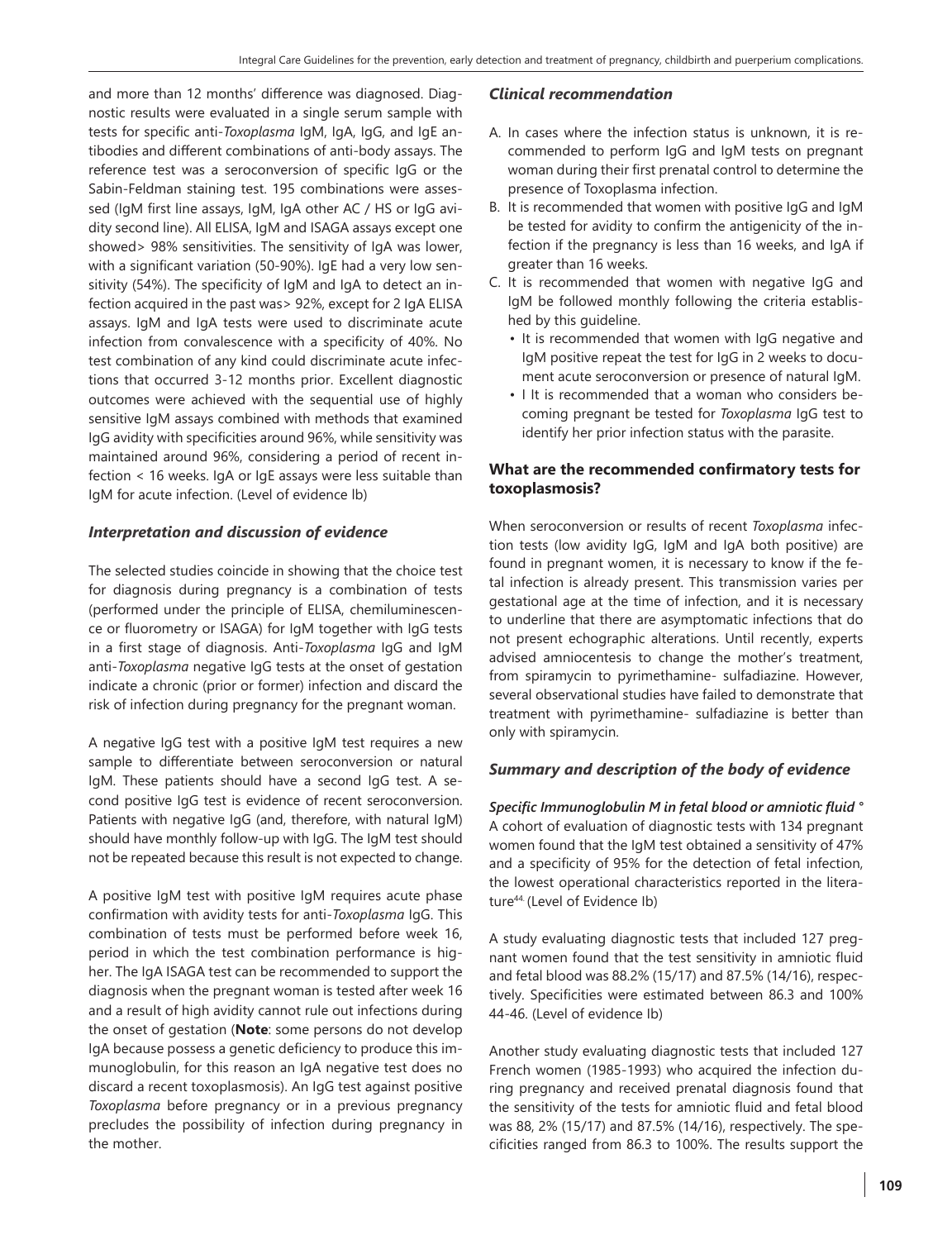and more than 12 months' difference was diagnosed. Diagnostic results were evaluated in a single serum sample with tests for specific anti-*Toxoplasma* IgM, IgA, IgG, and IgE antibodies and different combinations of anti-body assays. The reference test was a seroconversion of specific IgG or the Sabin-Feldman staining test. 195 combinations were assessed (IgM first line assays, IgM, IgA other AC / HS or IgG avidity second line). All ELISA, IgM and ISAGA assays except one showed> 98% sensitivities. The sensitivity of IgA was lower, with a significant variation (50-90%). IgE had a very low sensitivity (54%). The specificity of IgM and IgA to detect an infection acquired in the past was> 92%, except for 2 IgA ELISA assays. IgM and IgA tests were used to discriminate acute infection from convalescence with a specificity of 40%. No test combination of any kind could discriminate acute infections that occurred 3-12 months prior. Excellent diagnostic outcomes were achieved with the sequential use of highly sensitive IgM assays combined with methods that examined IgG avidity with specificities around 96%, while sensitivity was maintained around 96%, considering a period of recent infection < 16 weeks. IgA or IgE assays were less suitable than IgM for acute infection. (Level of evidence lb)

# *Interpretation and discussion of evidence*

The selected studies coincide in showing that the choice test for diagnosis during pregnancy is a combination of tests (performed under the principle of ELISA, chemiluminescence or fluorometry or ISAGA) for IgM together with IgG tests in a first stage of diagnosis. Anti-*Toxoplasma* IgG and IgM anti-*Toxoplasma* negative IgG tests at the onset of gestation indicate a chronic (prior or former) infection and discard the risk of infection during pregnancy for the pregnant woman.

A negative IgG test with a positive IgM test requires a new sample to differentiate between seroconversion or natural IgM. These patients should have a second IgG test. A second positive IgG test is evidence of recent seroconversion. Patients with negative IgG (and, therefore, with natural IgM) should have monthly follow-up with IgG. The IgM test should not be repeated because this result is not expected to change.

A positive IgM test with positive IgM requires acute phase confirmation with avidity tests for anti-*Toxoplasma* IgG. This combination of tests must be performed before week 16, period in which the test combination performance is higher. The IgA ISAGA test can be recommended to support the diagnosis when the pregnant woman is tested after week 16 and a result of high avidity cannot rule out infections during the onset of gestation (**Note**: some persons do not develop IgA because possess a genetic deficiency to produce this immunoglobulin, for this reason an IgA negative test does no discard a recent toxoplasmosis). An IgG test against positive *Toxoplasma* before pregnancy or in a previous pregnancy precludes the possibility of infection during pregnancy in the mother.

# *Clinical recommendation*

- A. In cases where the infection status is unknown, it is recommended to perform IgG and IgM tests on pregnant woman during their first prenatal control to determine the presence of Toxoplasma infection.
- B. It is recommended that women with positive IgG and IgM be tested for avidity to confirm the antigenicity of the infection if the pregnancy is less than 16 weeks, and IgA if greater than 16 weeks.
- C. It is recommended that women with negative IgG and IgM be followed monthly following the criteria established by this guideline.
	- It is recommended that women with IgG negative and IgM positive repeat the test for IgG in 2 weeks to document acute seroconversion or presence of natural IgM.
	- I It is recommended that a woman who considers becoming pregnant be tested for *Toxoplasma* IgG test to identify her prior infection status with the parasite.

# **What are the recommended confirmatory tests for toxoplasmosis?**

When seroconversion or results of recent *Toxoplasma* infection tests (low avidity IgG, IgM and IgA both positive) are found in pregnant women, it is necessary to know if the fetal infection is already present. This transmission varies per gestational age at the time of infection, and it is necessary to underline that there are asymptomatic infections that do not present echographic alterations. Until recently, experts advised amniocentesis to change the mother's treatment, from spiramycin to pyrimethamine- sulfadiazine. However, several observational studies have failed to demonstrate that treatment with pyrimethamine- sulfadiazine is better than only with spiramycin.

# *Summary and description of the body of evidence*

*Specific Immunoglobulin M in fetal blood or amniotic fluid °* A cohort of evaluation of diagnostic tests with 134 pregnant women found that the IgM test obtained a sensitivity of 47% and a specificity of 95% for the detection of fetal infection, the lowest operational characteristics reported in the literature44. (Level of Evidence Ib)

A study evaluating diagnostic tests that included 127 pregnant women found that the test sensitivity in amniotic fluid and fetal blood was 88.2% (15/17) and 87.5% (14/16), respectively. Specificities were estimated between 86.3 and 100% 44-46. (Level of evidence Ib)

Another study evaluating diagnostic tests that included 127 French women (1985-1993) who acquired the infection during pregnancy and received prenatal diagnosis found that the sensitivity of the tests for amniotic fluid and fetal blood was 88, 2% (15/17) and 87.5% (14/16), respectively. The specificities ranged from 86.3 to 100%. The results support the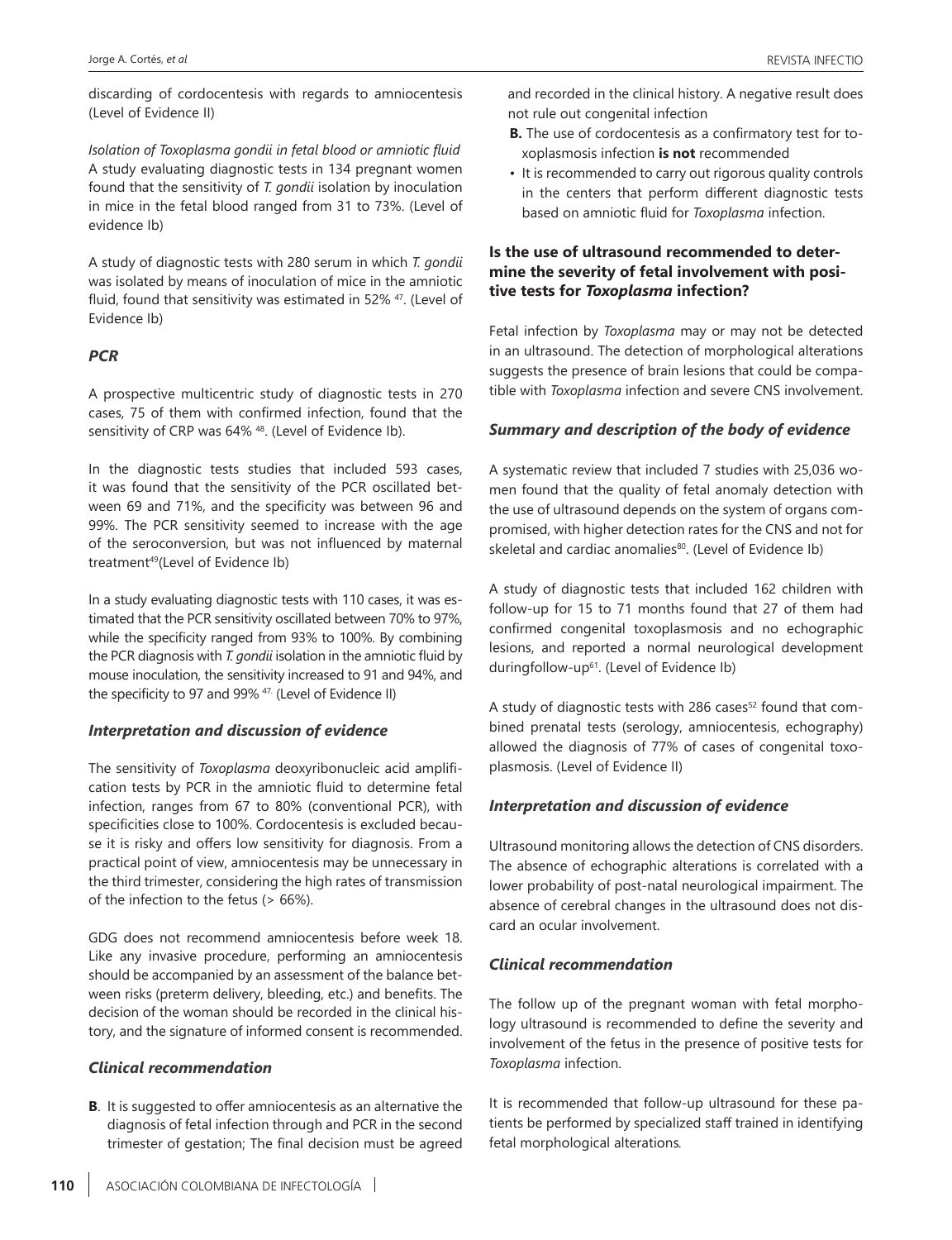discarding of cordocentesis with regards to amniocentesis (Level of Evidence II)

*Isolation of Toxoplasma gondii in fetal blood or amniotic fluid* A study evaluating diagnostic tests in 134 pregnant women found that the sensitivity of *T. gondii* isolation by inoculation in mice in the fetal blood ranged from 31 to 73%. (Level of evidence Ib)

A study of diagnostic tests with 280 serum in which *T. gondii* was isolated by means of inoculation of mice in the amniotic fluid, found that sensitivity was estimated in 52% <sup>47</sup>. (Level of Evidence Ib)

#### *PCR*

A prospective multicentric study of diagnostic tests in 270 cases, 75 of them with confirmed infection, found that the sensitivity of CRP was 64% <sup>48</sup>. (Level of Evidence Ib).

In the diagnostic tests studies that included 593 cases, it was found that the sensitivity of the PCR oscillated between 69 and 71%, and the specificity was between 96 and 99%. The PCR sensitivity seemed to increase with the age of the seroconversion, but was not influenced by maternal treatment<sup>49</sup>(Level of Evidence Ib)

In a study evaluating diagnostic tests with 110 cases, it was estimated that the PCR sensitivity oscillated between 70% to 97%, while the specificity ranged from 93% to 100%. By combining the PCR diagnosis with *T. gondii* isolation in the amniotic fluid by mouse inoculation, the sensitivity increased to 91 and 94%, and the specificity to 97 and 99% <sup>47.</sup> (Level of Evidence II)

#### *Interpretation and discussion of evidence*

The sensitivity of *Toxoplasma* deoxyribonucleic acid amplification tests by PCR in the amniotic fluid to determine fetal infection, ranges from 67 to 80% (conventional PCR), with specificities close to 100%. Cordocentesis is excluded because it is risky and offers low sensitivity for diagnosis. From a practical point of view, amniocentesis may be unnecessary in the third trimester, considering the high rates of transmission of the infection to the fetus (> 66%).

GDG does not recommend amniocentesis before week 18. Like any invasive procedure, performing an amniocentesis should be accompanied by an assessment of the balance between risks (preterm delivery, bleeding, etc.) and benefits. The decision of the woman should be recorded in the clinical history, and the signature of informed consent is recommended.

#### *Clinical recommendation*

**B**. It is suggested to offer amniocentesis as an alternative the diagnosis of fetal infection through and PCR in the second trimester of gestation; The final decision must be agreed and recorded in the clinical history. A negative result does not rule out congenital infection

- **B.** The use of cordocentesis as a confirmatory test for toxoplasmosis infection **is not** recommended
- It is recommended to carry out rigorous quality controls in the centers that perform different diagnostic tests based on amniotic fluid for *Toxoplasma* infection.

# **Is the use of ultrasound recommended to determine the severity of fetal involvement with positive tests for** *Toxoplasma* **infection?**

Fetal infection by *Toxoplasma* may or may not be detected in an ultrasound. The detection of morphological alterations suggests the presence of brain lesions that could be compatible with *Toxoplasma* infection and severe CNS involvement.

#### *Summary and description of the body of evidence*

A systematic review that included 7 studies with 25,036 women found that the quality of fetal anomaly detection with the use of ultrasound depends on the system of organs compromised, with higher detection rates for the CNS and not for skeletal and cardiac anomalies<sup>80</sup>. (Level of Evidence Ib)

A study of diagnostic tests that included 162 children with follow-up for 15 to 71 months found that 27 of them had confirmed congenital toxoplasmosis and no echographic lesions, and reported a normal neurological development duringfollow-up61. (Level of Evidence Ib)

A study of diagnostic tests with 286 cases<sup>52</sup> found that combined prenatal tests (serology, amniocentesis, echography) allowed the diagnosis of 77% of cases of congenital toxoplasmosis. (Level of Evidence II)

#### *Interpretation and discussion of evidence*

Ultrasound monitoring allows the detection of CNS disorders. The absence of echographic alterations is correlated with a lower probability of post-natal neurological impairment. The absence of cerebral changes in the ultrasound does not discard an ocular involvement.

#### *Clinical recommendation*

The follow up of the pregnant woman with fetal morphology ultrasound is recommended to define the severity and involvement of the fetus in the presence of positive tests for *Toxoplasma* infection.

It is recommended that follow-up ultrasound for these patients be performed by specialized staff trained in identifying fetal morphological alterations*.*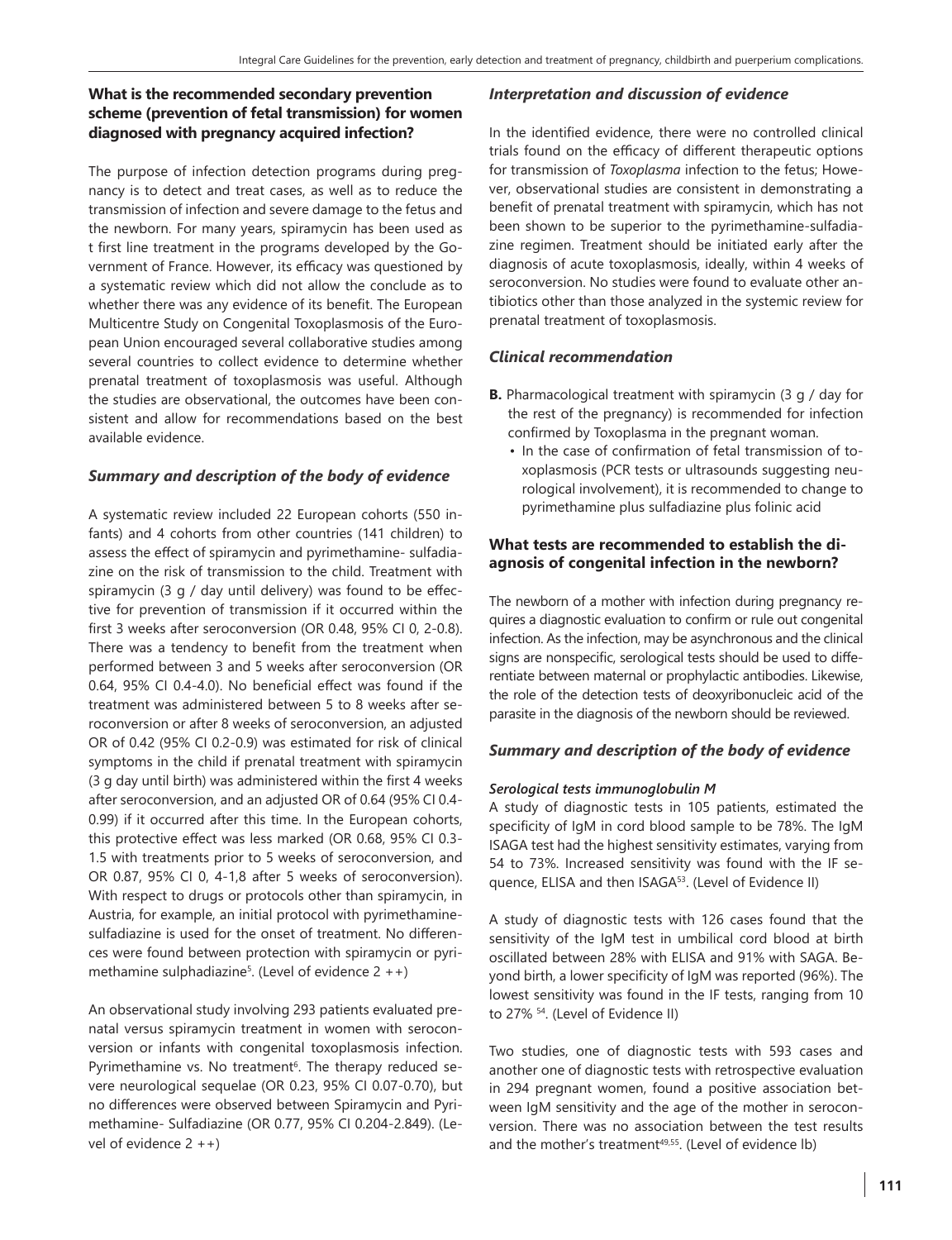# **What is the recommended secondary prevention scheme (prevention of fetal transmission) for women diagnosed with pregnancy acquired infection?**

The purpose of infection detection programs during pregnancy is to detect and treat cases, as well as to reduce the transmission of infection and severe damage to the fetus and the newborn. For many years, spiramycin has been used as t first line treatment in the programs developed by the Government of France. However, its efficacy was questioned by a systematic review which did not allow the conclude as to whether there was any evidence of its benefit. The European Multicentre Study on Congenital Toxoplasmosis of the European Union encouraged several collaborative studies among several countries to collect evidence to determine whether prenatal treatment of toxoplasmosis was useful. Although the studies are observational, the outcomes have been consistent and allow for recommendations based on the best available evidence.

# *Summary and description of the body of evidence*

A systematic review included 22 European cohorts (550 infants) and 4 cohorts from other countries (141 children) to assess the effect of spiramycin and pyrimethamine- sulfadiazine on the risk of transmission to the child. Treatment with spiramycin (3 g / day until delivery) was found to be effective for prevention of transmission if it occurred within the first 3 weeks after seroconversion (OR 0.48, 95% CI 0, 2-0.8). There was a tendency to benefit from the treatment when performed between 3 and 5 weeks after seroconversion (OR 0.64, 95% CI 0.4-4.0). No beneficial effect was found if the treatment was administered between 5 to 8 weeks after seroconversion or after 8 weeks of seroconversion, an adjusted OR of 0.42 (95% CI 0.2-0.9) was estimated for risk of clinical symptoms in the child if prenatal treatment with spiramycin (3 g day until birth) was administered within the first 4 weeks after seroconversion, and an adjusted OR of 0.64 (95% CI 0.4- 0.99) if it occurred after this time. In the European cohorts, this protective effect was less marked (OR 0.68, 95% CI 0.3- 1.5 with treatments prior to 5 weeks of seroconversion, and OR 0.87, 95% CI 0, 4-1,8 after 5 weeks of seroconversion). With respect to drugs or protocols other than spiramycin, in Austria, for example, an initial protocol with pyrimethaminesulfadiazine is used for the onset of treatment. No differences were found between protection with spiramycin or pyrimethamine sulphadiazine5 . (Level of evidence 2 ++)

An observational study involving 293 patients evaluated prenatal versus spiramycin treatment in women with seroconversion or infants with congenital toxoplasmosis infection. Pyrimethamine vs. No treatment<sup>6</sup>. The therapy reduced severe neurological sequelae (OR 0.23, 95% CI 0.07-0.70), but no differences were observed between Spiramycin and Pyrimethamine- Sulfadiazine (OR 0.77, 95% CI 0.204-2.849). (Level of evidence  $2 + +$ )

# *Interpretation and discussion of evidence*

In the identified evidence, there were no controlled clinical trials found on the efficacy of different therapeutic options for transmission of *Toxoplasma* infection to the fetus; However, observational studies are consistent in demonstrating a benefit of prenatal treatment with spiramycin, which has not been shown to be superior to the pyrimethamine-sulfadiazine regimen. Treatment should be initiated early after the diagnosis of acute toxoplasmosis, ideally, within 4 weeks of seroconversion. No studies were found to evaluate other antibiotics other than those analyzed in the systemic review for prenatal treatment of toxoplasmosis.

# *Clinical recommendation*

- **B.** Pharmacological treatment with spiramycin (3 g / day for the rest of the pregnancy) is recommended for infection confirmed by Toxoplasma in the pregnant woman.
	- In the case of confirmation of fetal transmission of toxoplasmosis (PCR tests or ultrasounds suggesting neurological involvement), it is recommended to change to pyrimethamine plus sulfadiazine plus folinic acid

# **What tests are recommended to establish the diagnosis of congenital infection in the newborn?**

The newborn of a mother with infection during pregnancy requires a diagnostic evaluation to confirm or rule out congenital infection. As the infection, may be asynchronous and the clinical signs are nonspecific, serological tests should be used to differentiate between maternal or prophylactic antibodies. Likewise, the role of the detection tests of deoxyribonucleic acid of the parasite in the diagnosis of the newborn should be reviewed.

# *Summary and description of the body of evidence*

# *Serological tests immunoglobulin M*

A study of diagnostic tests in 105 patients, estimated the specificity of IgM in cord blood sample to be 78%. The IgM ISAGA test had the highest sensitivity estimates, varying from 54 to 73%. Increased sensitivity was found with the IF sequence, ELISA and then ISAGA53. (Level of Evidence II)

A study of diagnostic tests with 126 cases found that the sensitivity of the IgM test in umbilical cord blood at birth oscillated between 28% with ELISA and 91% with SAGA. Beyond birth, a lower specificity of IgM was reported (96%). The lowest sensitivity was found in the IF tests, ranging from 10 to 27% 54. (Level of Evidence II)

Two studies, one of diagnostic tests with 593 cases and another one of diagnostic tests with retrospective evaluation in 294 pregnant women, found a positive association between IgM sensitivity and the age of the mother in seroconversion. There was no association between the test results and the mother's treatment<sup>49,55</sup>. (Level of evidence lb)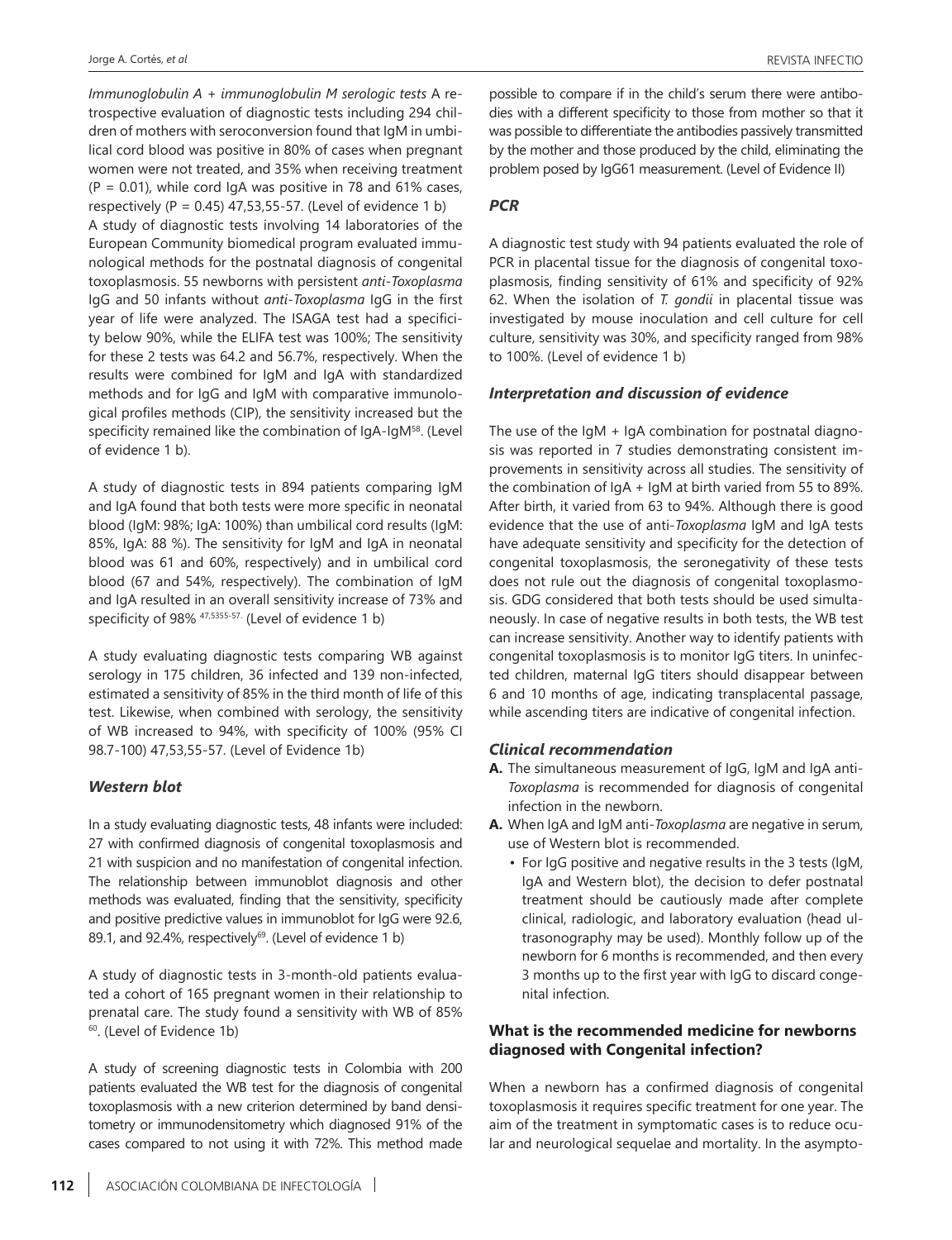*Immunoglobulin A + immunoglobulin M serologic tests* A retrospective evaluation of diagnostic tests including 294 children of mothers with seroconversion found that IgM in umbilical cord blood was positive in 80% of cases when pregnant women were not treated, and 35% when receiving treatment  $(P = 0.01)$ , while cord IgA was positive in 78 and 61% cases, respectively (P =  $0.45$ ) 47,53,55-57. (Level of evidence 1 b) A study of diagnostic tests involving 14 laboratories of the European Community biomedical program evaluated immunological methods for the postnatal diagnosis of congenital toxoplasmosis. 55 newborns with persistent *anti-Toxoplasma* IgG and 50 infants without *anti-Toxoplasma* IgG in the first year of life were analyzed. The ISAGA test had a specificity below 90%, while the ELIFA test was 100%; The sensitivity for these 2 tests was 64.2 and 56.7%, respectively. When the results were combined for IgM and IgA with standardized methods and for IgG and IgM with comparative immunological profiles methods (CIP), the sensitivity increased but the specificity remained like the combination of IgA-IgM<sup>58</sup>. (Level of evidence 1 b).

A study of diagnostic tests in 894 patients comparing IgM and IgA found that both tests were more specific in neonatal blood (IgM: 98%; IgA: 100%) than umbilical cord results (IgM: 85%, IgA: 88 %). The sensitivity for IgM and IgA in neonatal blood was 61 and 60%, respectively) and in umbilical cord blood (67 and 54%, respectively). The combination of IgM and IgA resulted in an overall sensitivity increase of 73% and specificity of 98% 47,5355-57. (Level of evidence 1 b)

A study evaluating diagnostic tests comparing WB against serology in 175 children, 36 infected and 139 non-infected, estimated a sensitivity of 85% in the third month of life of this test. Likewise, when combined with serology, the sensitivity of WB increased to 94%, with specificity of 100% (95% CI 98.7-100) 47,53,55-57. (Level of Evidence 1b)

# *Western blot*

In a study evaluating diagnostic tests, 48 infants were included: 27 with confirmed diagnosis of congenital toxoplasmosis and 21 with suspicion and no manifestation of congenital infection. The relationship between immunoblot diagnosis and other methods was evaluated, finding that the sensitivity, specificity and positive predictive values in immunoblot for IgG were 92.6, 89.1, and 92.4%, respectively<sup>69</sup>. (Level of evidence 1 b)

A study of diagnostic tests in 3-month-old patients evaluated a cohort of 165 pregnant women in their relationship to prenatal care. The study found a sensitivity with WB of 85% 60. (Level of Evidence 1b)

A study of screening diagnostic tests in Colombia with 200 patients evaluated the WB test for the diagnosis of congenital toxoplasmosis with a new criterion determined by band densitometry or immunodensitometry which diagnosed 91% of the cases compared to not using it with 72%. This method made possible to compare if in the child's serum there were antibodies with a different specificity to those from mother so that it was possible to differentiate the antibodies passively transmitted by the mother and those produced by the child, eliminating the problem posed by IgG61 measurement. (Level of Evidence II)

#### *PCR*

A diagnostic test study with 94 patients evaluated the role of PCR in placental tissue for the diagnosis of congenital toxoplasmosis, finding sensitivity of 61% and specificity of 92% 62. When the isolation of *T. gondii* in placental tissue was investigated by mouse inoculation and cell culture for cell culture, sensitivity was 30%, and specificity ranged from 98% to 100%. (Level of evidence 1 b)

#### *Interpretation and discussion of evidence*

The use of the IgM + IgA combination for postnatal diagnosis was reported in 7 studies demonstrating consistent improvements in sensitivity across all studies. The sensitivity of the combination of IgA + IgM at birth varied from 55 to 89%. After birth, it varied from 63 to 94%. Although there is good evidence that the use of anti-*Toxoplasma* IgM and IgA tests have adequate sensitivity and specificity for the detection of congenital toxoplasmosis, the seronegativity of these tests does not rule out the diagnosis of congenital toxoplasmosis. GDG considered that both tests should be used simultaneously. In case of negative results in both tests, the WB test can increase sensitivity. Another way to identify patients with congenital toxoplasmosis is to monitor IgG titers. In uninfected children, maternal IgG titers should disappear between 6 and 10 months of age, indicating transplacental passage, while ascending titers are indicative of congenital infection.

#### *Clinical recommendation*

- **A.** The simultaneous measurement of IgG, IgM and IgA anti-*Toxoplasma* is recommended for diagnosis of congenital infection in the newborn.
- **A.** When IgA and IgM anti-*Toxoplasma* are negative in serum, use of Western blot is recommended.
	- For IgG positive and negative results in the 3 tests (IgM, IgA and Western blot), the decision to defer postnatal treatment should be cautiously made after complete clinical, radiologic, and laboratory evaluation (head ultrasonography may be used). Monthly follow up of the newborn for 6 months is recommended, and then every 3 months up to the first year with IgG to discard congenital infection.

# **What is the recommended medicine for newborns diagnosed with Congenital infection?**

When a newborn has a confirmed diagnosis of congenital toxoplasmosis it requires specific treatment for one year. The aim of the treatment in symptomatic cases is to reduce ocular and neurological sequelae and mortality. In the asympto-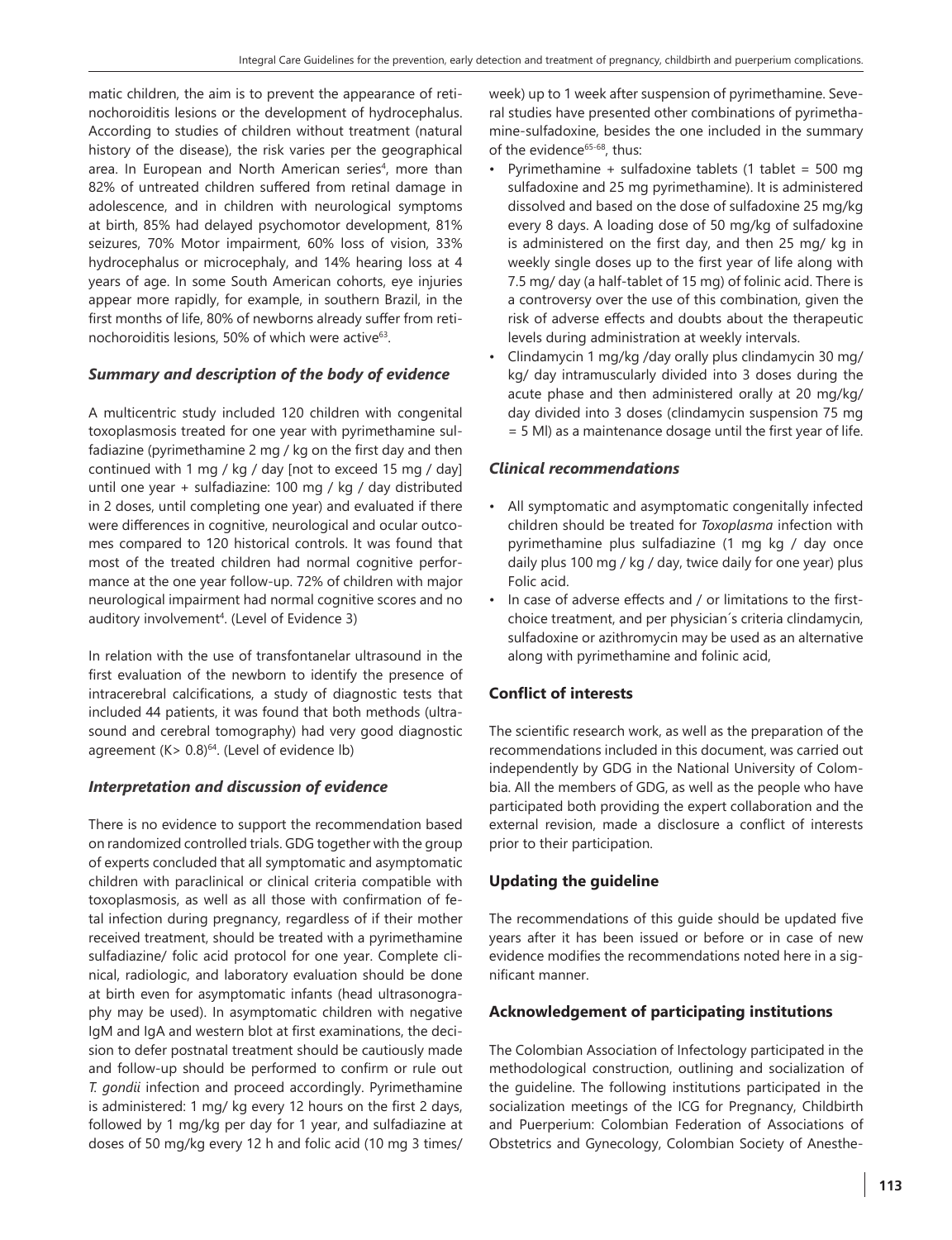matic children, the aim is to prevent the appearance of retinochoroiditis lesions or the development of hydrocephalus. According to studies of children without treatment (natural history of the disease), the risk varies per the geographical area. In European and North American series<sup>4</sup>, more than 82% of untreated children suffered from retinal damage in adolescence, and in children with neurological symptoms at birth, 85% had delayed psychomotor development, 81% seizures, 70% Motor impairment, 60% loss of vision, 33% hydrocephalus or microcephaly, and 14% hearing loss at 4 years of age. In some South American cohorts, eye injuries appear more rapidly, for example, in southern Brazil, in the first months of life, 80% of newborns already suffer from retinochoroiditis lesions, 50% of which were active<sup>63</sup>.

# *Summary and description of the body of evidence*

A multicentric study included 120 children with congenital toxoplasmosis treated for one year with pyrimethamine sulfadiazine (pyrimethamine 2 mg / kg on the first day and then continued with 1 mg / kg / day [not to exceed 15 mg / day] until one year + sulfadiazine: 100 mg / kg / day distributed in 2 doses, until completing one year) and evaluated if there were differences in cognitive, neurological and ocular outcomes compared to 120 historical controls. It was found that most of the treated children had normal cognitive performance at the one year follow-up. 72% of children with major neurological impairment had normal cognitive scores and no auditory involvement<sup>4</sup>. (Level of Evidence 3)

In relation with the use of transfontanelar ultrasound in the first evaluation of the newborn to identify the presence of intracerebral calcifications, a study of diagnostic tests that included 44 patients, it was found that both methods (ultrasound and cerebral tomography) had very good diagnostic agreement  $(K > 0.8)$ <sup>64</sup>. (Level of evidence lb)

# *Interpretation and discussion of evidence*

There is no evidence to support the recommendation based on randomized controlled trials. GDG together with the group of experts concluded that all symptomatic and asymptomatic children with paraclinical or clinical criteria compatible with toxoplasmosis, as well as all those with confirmation of fetal infection during pregnancy, regardless of if their mother received treatment, should be treated with a pyrimethamine sulfadiazine/ folic acid protocol for one year. Complete clinical, radiologic, and laboratory evaluation should be done at birth even for asymptomatic infants (head ultrasonography may be used). In asymptomatic children with negative IgM and IgA and western blot at first examinations, the decision to defer postnatal treatment should be cautiously made and follow-up should be performed to confirm or rule out *T. gondii* infection and proceed accordingly. Pyrimethamine is administered: 1 mg/ kg every 12 hours on the first 2 days, followed by 1 mg/kg per day for 1 year, and sulfadiazine at doses of 50 mg/kg every 12 h and folic acid (10 mg 3 times/

week) up to 1 week after suspension of pyrimethamine. Several studies have presented other combinations of pyrimethamine-sulfadoxine, besides the one included in the summary of the evidence<sup>65-68</sup>, thus:

- Pyrimethamine + sulfadoxine tablets (1 tablet =  $500 \text{ mg}$ ) sulfadoxine and 25 mg pyrimethamine). It is administered dissolved and based on the dose of sulfadoxine 25 mg/kg every 8 days. A loading dose of 50 mg/kg of sulfadoxine is administered on the first day, and then 25 mg/ kg in weekly single doses up to the first year of life along with 7.5 mg/ day (a half-tablet of 15 mg) of folinic acid. There is a controversy over the use of this combination, given the risk of adverse effects and doubts about the therapeutic levels during administration at weekly intervals.
- Clindamycin 1 mg/kg /day orally plus clindamycin 30 mg/ kg/ day intramuscularly divided into 3 doses during the acute phase and then administered orally at 20 mg/kg/ day divided into 3 doses (clindamycin suspension 75 mg = 5 Ml) as a maintenance dosage until the first year of life.

# *Clinical recommendations*

- All symptomatic and asymptomatic congenitally infected children should be treated for *Toxoplasma* infection with pyrimethamine plus sulfadiazine (1 mg kg / day once daily plus 100 mg / kg / day, twice daily for one year) plus Folic acid.
- In case of adverse effects and / or limitations to the firstchoice treatment, and per physician´s criteria clindamycin, sulfadoxine or azithromycin may be used as an alternative along with pyrimethamine and folinic acid,

# **Conflict of interests**

The scientific research work, as well as the preparation of the recommendations included in this document, was carried out independently by GDG in the National University of Colombia. All the members of GDG, as well as the people who have participated both providing the expert collaboration and the external revision, made a disclosure a conflict of interests prior to their participation.

# **Updating the guideline**

The recommendations of this guide should be updated five years after it has been issued or before or in case of new evidence modifies the recommendations noted here in a significant manner.

# **Acknowledgement of participating institutions**

The Colombian Association of Infectology participated in the methodological construction, outlining and socialization of the guideline. The following institutions participated in the socialization meetings of the ICG for Pregnancy, Childbirth and Puerperium: Colombian Federation of Associations of Obstetrics and Gynecology, Colombian Society of Anesthe-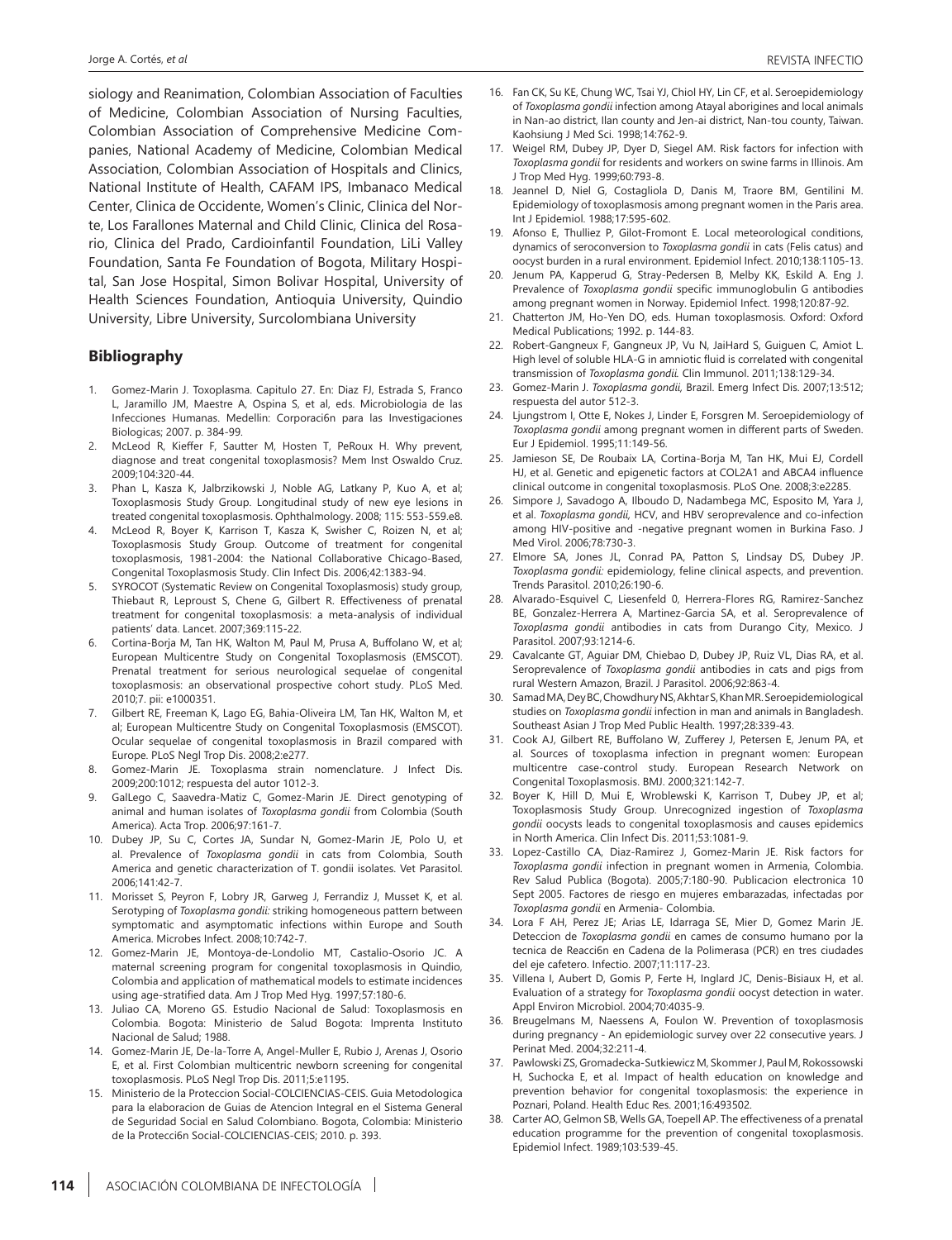siology and Reanimation, Colombian Association of Faculties of Medicine, Colombian Association of Nursing Faculties, Colombian Association of Comprehensive Medicine Companies, National Academy of Medicine, Colombian Medical Association, Colombian Association of Hospitals and Clinics, National Institute of Health, CAFAM IPS, Imbanaco Medical Center, Clinica de Occidente, Women's Clinic, Clinica del Norte, Los Farallones Maternal and Child Clinic, Clinica del Rosario, Clinica del Prado, Cardioinfantil Foundation, LiLi Valley Foundation, Santa Fe Foundation of Bogota, Military Hospital, San Jose Hospital, Simon Bolivar Hospital, University of Health Sciences Foundation, Antioquia University, Quindio University, Libre University, Surcolombiana University

#### **Bibliography**

- 1. Gomez-Marin J. Toxoplasma. Capitulo 27. En: Diaz FJ, Estrada S, Franco L, Jaramillo JM, Maestre A, Ospina S, et al, eds. Microbiologia de las Infecciones Humanas. Medellin: Corporaci6n para las Investigaciones Biologicas; 2007. p. 384-99.
- 2. McLeod R, Kieffer F, Sautter M, Hosten T, PeRoux H. Why prevent, diagnose and treat congenital toxoplasmosis? Mem Inst Oswaldo Cruz. 2009;104:320-44.
- 3. Phan L, Kasza K, Jalbrzikowski J, Noble AG, Latkany P, Kuo A, et al; Toxoplasmosis Study Group. Longitudinal study of new eye lesions in treated congenital toxoplasmosis. Ophthalmology. 2008; 115: 553-559.e8.
- 4. McLeod R, Boyer K, Karrison T, Kasza K, Swisher C, Roizen N, et al; Toxoplasmosis Study Group. Outcome of treatment for congenital toxoplasmosis, 1981-2004: the National Collaborative Chicago-Based, Congenital Toxoplasmosis Study. Clin Infect Dis. 2006;42:1383-94.
- 5. SYROCOT (Systematic Review on Congenital Toxoplasmosis) study group, Thiebaut R, Leproust S, Chene G, Gilbert R. Effectiveness of prenatal treatment for congenital toxoplasmosis: a meta-analysis of individual patients' data. Lancet. 2007;369:115-22.
- Cortina-Borja M, Tan HK, Walton M, Paul M, Prusa A, Buffolano W, et al; European Multicentre Study on Congenital Toxoplasmosis (EMSCOT). Prenatal treatment for serious neurological sequelae of congenital toxoplasmosis: an observational prospective cohort study. PLoS Med. 2010;7. pii: e1000351.
- 7. Gilbert RE, Freeman K, Lago EG, Bahia-Oliveira LM, Tan HK, Walton M, et al; European Multicentre Study on Congenital Toxoplasmosis (EMSCOT). Ocular sequelae of congenital toxoplasmosis in Brazil compared with Europe. PLoS Negl Trop Dis. 2008;2:e277.
- 8. Gomez-Marin JE. Toxoplasma strain nomenclature. J Infect Dis. 2009;200:1012; respuesta del autor 1012-3.
- 9. GalLego C, Saavedra-Matiz C, Gomez-Marin JE. Direct genotyping of animal and human isolates of *Toxoplasma gondii* from Colombia (South America). Acta Trop. 2006;97:161-7.
- 10. Dubey JP, Su C, Cortes JA, Sundar N, Gomez-Marin JE, Polo U, et al. Prevalence of *Toxoplasma gondii* in cats from Colombia, South America and genetic characterization of T. gondii isolates. Vet Parasitol. 2006;141:42-7.
- 11. Morisset S, Peyron F, Lobry JR, Garweg J, Ferrandiz J, Musset K, et al. Serotyping of *Toxoplasma gondii:* striking homogeneous pattern between symptomatic and asymptomatic infections within Europe and South America. Microbes Infect. 2008;10:742-7.
- 12. Gomez-Marin JE, Montoya-de-Londolio MT, Castalio-Osorio JC. A maternal screening program for congenital toxoplasmosis in Quindio, Colombia and application of mathematical models to estimate incidences using age-stratified data. Am J Trop Med Hyg. 1997;57:180-6.
- 13. Juliao CA, Moreno GS. Estudio Nacional de Salud: Toxoplasmosis en Colombia. Bogota: Ministerio de Salud Bogota: Imprenta Instituto Nacional de Salud; 1988.
- 14. Gomez-Marin JE, De-la-Torre A, Angel-Muller E, Rubio J, Arenas J, Osorio E, et al. First Colombian multicentric newborn screening for congenital toxoplasmosis. PLoS Negl Trop Dis. 2011;5:e1195.
- 15. Ministerio de la Proteccion Social-COLCIENCIAS-CEIS. Guia Metodologica para la elaboracion de Guias de Atencion Integral en el Sistema General de Seguridad Social en Salud Colombiano. Bogota, Colombia: Ministerio de la Protecci6n Social-COLCIENCIAS-CEIS; 2010. p. 393.
- 16. Fan CK, Su KE, Chung WC, Tsai YJ, Chiol HY, Lin CF, et al. Seroepidemiology of *Toxoplasma gondii* infection among Atayal aborigines and local animals in Nan-ao district, Ilan county and Jen-ai district, Nan-tou county, Taiwan. Kaohsiung J Med Sci. 1998;14:762-9.
- 17. Weigel RM, Dubey JP, Dyer D, Siegel AM. Risk factors for infection with *Toxoplasma gondii* for residents and workers on swine farms in Illinois. Am J Trop Med Hyg. 1999;60:793-8.
- 18. Jeannel D, Niel G, Costagliola D, Danis M, Traore BM, Gentilini M. Epidemiology of toxoplasmosis among pregnant women in the Paris area. Int J Epidemiol. 1988;17:595-602.
- 19. Afonso E, Thulliez P, Gilot-Fromont E. Local meteorological conditions, dynamics of seroconversion to *Toxoplasma gondii* in cats (Felis catus) and oocyst burden in a rural environment. Epidemiol Infect. 2010;138:1105-13.
- 20. Jenum PA, Kapperud G, Stray-Pedersen B, Melby KK, Eskild A. Eng J. Prevalence of *Toxoplasma gondii* specific immunoglobulin G antibodies among pregnant women in Norway. Epidemiol Infect. 1998;120:87-92.
- 21. Chatterton JM, Ho-Yen DO, eds. Human toxoplasmosis. Oxford: Oxford Medical Publications; 1992. p. 144-83.
- 22. Robert-Gangneux F, Gangneux JP, Vu N, JaiHard S, Guiguen C, Amiot L. High level of soluble HLA-G in amniotic fluid is correlated with congenital transmission of *Toxoplasma gondii.* Clin Immunol. 2011;138:129-34.
- 23. Gomez-Marin J. *Toxoplasma gondii,* Brazil. Emerg Infect Dis. 2007;13:512; respuesta del autor 512-3.
- 24. Ljungstrom I, Otte E, Nokes J, Linder E, Forsgren M. Seroepidemiology of *Toxoplasma gondii* among pregnant women in different parts of Sweden. Eur J Epidemiol. 1995;11:149-56.
- 25. Jamieson SE, De Roubaix LA, Cortina-Borja M, Tan HK, Mui EJ, Cordell HJ, et al. Genetic and epigenetic factors at COL2A1 and ABCA4 influence clinical outcome in congenital toxoplasmosis. PLoS One. 2008;3:e2285.
- 26. Simpore J, Savadogo A, Ilboudo D, Nadambega MC, Esposito M, Yara J, et al. *Toxoplasma gondii,* HCV, and HBV seroprevalence and co-infection among HIV-positive and -negative pregnant women in Burkina Faso. J Med Virol. 2006;78:730-3.
- 27. Elmore SA, Jones JL, Conrad PA, Patton S, Lindsay DS, Dubey JP. *Toxoplasma gondii:* epidemiology, feline clinical aspects, and prevention. Trends Parasitol. 2010;26:190-6.
- 28. Alvarado-Esquivel C, Liesenfeld 0, Herrera-Flores RG, Ramirez-Sanchez BE, Gonzalez-Herrera A, Martinez-Garcia SA, et al. Seroprevalence of *Toxoplasma gondii* antibodies in cats from Durango City, Mexico. J Parasitol. 2007;93:1214-6.
- 29. Cavalcante GT, Aguiar DM, Chiebao D, Dubey JP, Ruiz VL, Dias RA, et al. Seroprevalence of *Toxoplasma gondii* antibodies in cats and pigs from rural Western Amazon, Brazil. J Parasitol. 2006;92:863-4.
- 30. Samad MA, Dey BC, Chowdhury NS, Akhtar S, Khan MR. Seroepidemiological studies on *Toxoplasma gondii* infection in man and animals in Bangladesh. Southeast Asian J Trop Med Public Health. 1997;28:339-43.
- 31. Cook AJ, Gilbert RE, Buffolano W, Zufferey J, Petersen E, Jenum PA, et al. Sources of toxoplasma infection in pregnant women: European multicentre case-control study. European Research Network on Congenital Toxoplasmosis. BMJ. 2000;321:142-7.
- 32. Boyer K, Hill D, Mui E, Wroblewski K, Karrison T, Dubey JP, et al; Toxoplasmosis Study Group. Unrecognized ingestion of *Toxoplasma gondii* oocysts leads to congenital toxoplasmosis and causes epidemics in North America. Clin Infect Dis. 2011;53:1081-9.
- 33. Lopez-Castillo CA, Diaz-Ramirez J, Gomez-Marin JE. Risk factors for *Toxoplasma gondii* infection in pregnant women in Armenia, Colombia. Rev Salud Publica (Bogota). 2005;7:180-90. Publicacion electronica 10 Sept 2005. Factores de riesgo en mujeres embarazadas, infectadas por *Toxoplasma gondii* en Armenia- Colombia.
- 34. Lora F AH, Perez JE; Arias LE, Idarraga SE, Mier D, Gomez Marin JE. Deteccion de *Toxoplasma gondii* en cames de consumo humano por la tecnica de Reacci6n en Cadena de la Polimerasa (PCR) en tres ciudades del eje cafetero. Infectio. 2007;11:117-23.
- 35. Villena I, Aubert D, Gomis P, Ferte H, Inglard JC, Denis-Bisiaux H, et al. Evaluation of a strategy for *Toxoplasma gondii* oocyst detection in water. Appl Environ Microbiol. 2004;70:4035-9.
- 36. Breugelmans M, Naessens A, Foulon W. Prevention of toxoplasmosis during pregnancy - An epidemiologic survey over 22 consecutive years. J Perinat Med. 2004;32:211-4.
- 37. Pawlowski ZS, Gromadecka-Sutkiewicz M, Skommer J, Paul M, Rokossowski H, Suchocka E, et al. Impact of health education on knowledge and prevention behavior for congenital toxoplasmosis: the experience in Poznari, Poland. Health Educ Res. 2001;16:493502.
- 38. Carter AO, Gelmon SB, Wells GA, Toepell AP. The effectiveness of a prenatal education programme for the prevention of congenital toxoplasmosis. Epidemiol Infect. 1989;103:539-45.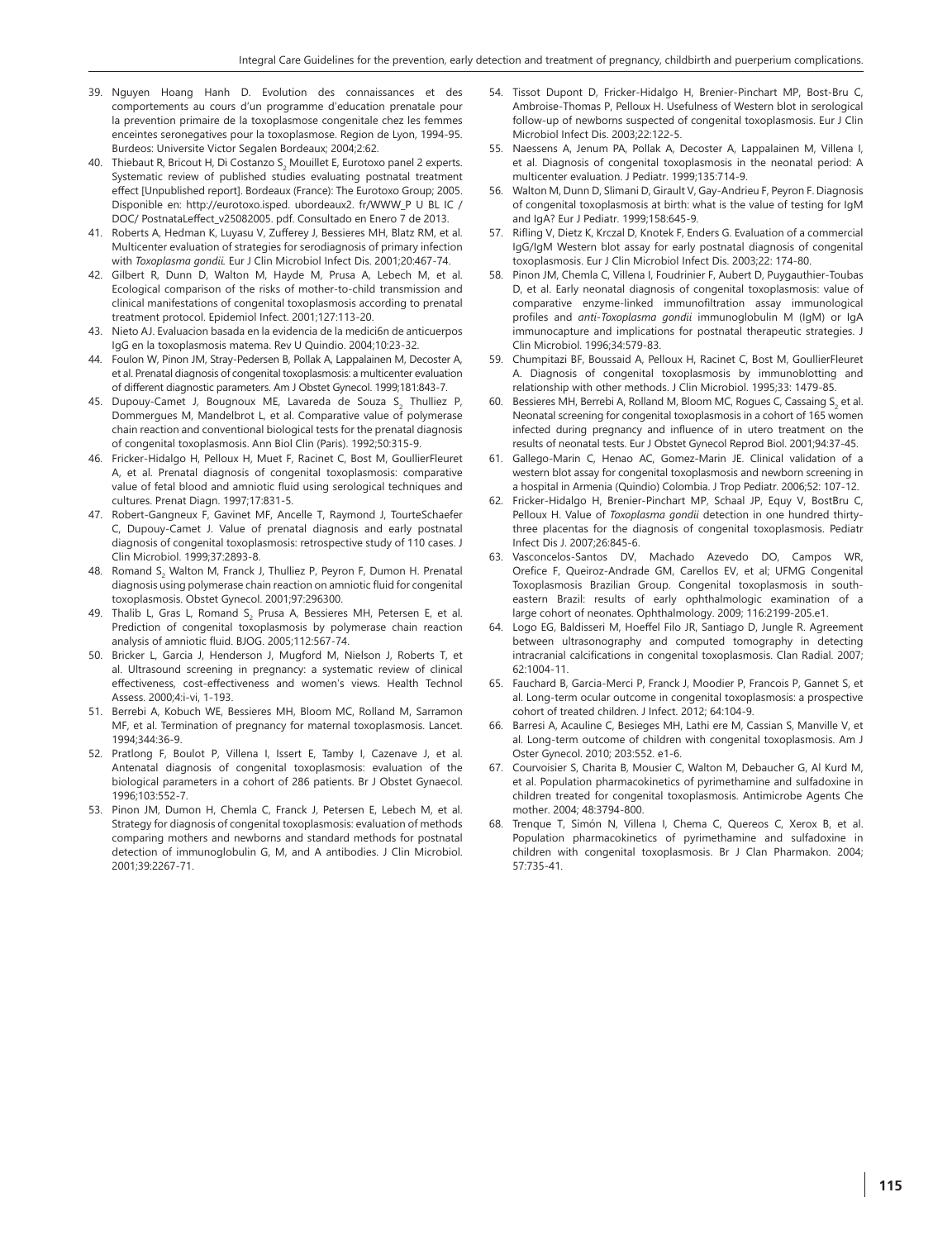- 39. Nguyen Hoang Hanh D. Evolution des connaissances et des comportements au cours d'un programme d'education prenatale pour la prevention primaire de la toxoplasmose congenitale chez les femmes enceintes seronegatives pour la toxoplasmose. Region de Lyon, 1994-95. Burdeos: Universite Victor Segalen Bordeaux; 2004;2:62.
- 40. Thiebaut R, Bricout H, Di Costanzo S<sub>2</sub> Mouillet E, Eurotoxo panel 2 experts. Systematic review of published studies evaluating postnatal treatment effect [Unpublished report]. Bordeaux (France): The Eurotoxo Group; 2005. Disponible en: http://eurotoxo.isped. ubordeaux2. fr/WWW\_P U BL IC / DOC/ PostnataLeffect\_v25082005. pdf. Consultado en Enero 7 de 2013.
- 41. Roberts A, Hedman K, Luyasu V, Zufferey J, Bessieres MH, Blatz RM, et al. Multicenter evaluation of strategies for serodiagnosis of primary infection with *Toxoplasma gondii.* Eur J Clin Microbiol Infect Dis. 2001;20:467-74.
- 42. Gilbert R, Dunn D, Walton M, Hayde M, Prusa A, Lebech M, et al. Ecological comparison of the risks of mother-to-child transmission and clinical manifestations of congenital toxoplasmosis according to prenatal treatment protocol. Epidemiol Infect. 2001;127:113-20.
- 43. Nieto AJ. Evaluacion basada en la evidencia de la medici6n de anticuerpos IgG en la toxoplasmosis matema. Rev U Quindio. 2004;10:23-32.
- 44. Foulon W, Pinon JM, Stray-Pedersen B, Pollak A, Lappalainen M, Decoster A, et al. Prenatal diagnosis of congenital toxoplasmosis: a multicenter evaluation of different diagnostic parameters. Am J Obstet Gynecol. 1999;181:843-7.
- 45. Dupouy-Camet J, Bougnoux ME, Lavareda de Souza S $_2$  Thulliez P, Dommergues M, Mandelbrot L, et al. Comparative value of polymerase chain reaction and conventional biological tests for the prenatal diagnosis of congenital toxoplasmosis. Ann Biol Clin (Paris). 1992;50:315-9.
- 46. Fricker-Hidalgo H, Pelloux H, Muet F, Racinet C, Bost M, GoullierFleuret A, et al. Prenatal diagnosis of congenital toxoplasmosis: comparative value of fetal blood and amniotic fluid using serological techniques and cultures. Prenat Diagn. 1997;17:831-5.
- 47. Robert-Gangneux F, Gavinet MF, Ancelle T, Raymond J, TourteSchaefer C, Dupouy-Camet J. Value of prenatal diagnosis and early postnatal diagnosis of congenital toxoplasmosis: retrospective study of 110 cases. J Clin Microbiol. 1999;37:2893-8.
- 48. Romand S<sub>2</sub> Walton M, Franck J, Thulliez P, Peyron F, Dumon H. Prenatal diagnosis using polymerase chain reaction on amniotic fluid for congenital toxoplasmosis. Obstet Gynecol. 2001;97:296300.
- 49. Thalib L, Gras L, Romand S<sub>2</sub> Prusa A, Bessieres MH, Petersen E, et al. Prediction of congenital toxoplasmosis by polymerase chain reaction analysis of amniotic fluid. BJOG. 2005;112:567-74.
- 50. Bricker L, Garcia J, Henderson J, Mugford M, Nielson J, Roberts T, et al. Ultrasound screening in pregnancy: a systematic review of clinical effectiveness, cost-effectiveness and women's views. Health Technol Assess. 2000;4:i-vi, 1-193.
- 51. Berrebi A, Kobuch WE, Bessieres MH, Bloom MC, Rolland M, Sarramon MF, et al. Termination of pregnancy for maternal toxoplasmosis. Lancet. 1994;344:36-9.
- 52. Pratlong F, Boulot P, Villena I, Issert E, Tamby I, Cazenave J, et al. Antenatal diagnosis of congenital toxoplasmosis: evaluation of the biological parameters in a cohort of 286 patients. Br J Obstet Gynaecol. 1996;103:552-7.
- 53. Pinon JM, Dumon H, Chemla C, Franck J, Petersen E, Lebech M, et al. Strategy for diagnosis of congenital toxoplasmosis: evaluation of methods comparing mothers and newborns and standard methods for postnatal detection of immunoglobulin G, M, and A antibodies. J Clin Microbiol. 2001;39:2267-71.
- 54. Tissot Dupont D, Fricker-Hidalgo H, Brenier-Pinchart MP, Bost-Bru C, Ambroise-Thomas P, Pelloux H. Usefulness of Western blot in serological follow-up of newborns suspected of congenital toxoplasmosis. Eur J Clin Microbiol Infect Dis. 2003;22:122-5.
- 55. Naessens A, Jenum PA, Pollak A, Decoster A, Lappalainen M, Villena I, et al. Diagnosis of congenital toxoplasmosis in the neonatal period: A multicenter evaluation. J Pediatr. 1999;135:714-9.
- 56. Walton M, Dunn D, Slimani D, Girault V, Gay-Andrieu F, Peyron F. Diagnosis of congenital toxoplasmosis at birth: what is the value of testing for IgM and IgA? Eur J Pediatr. 1999;158:645-9.
- 57. Rifling V, Dietz K, Krczal D, Knotek F, Enders G. Evaluation of a commercial IgG/IgM Western blot assay for early postnatal diagnosis of congenital toxoplasmosis. Eur J Clin Microbiol Infect Dis. 2003;22: 174-80.
- 58. Pinon JM, Chemla C, Villena I, Foudrinier F, Aubert D, Puygauthier-Toubas D, et al. Early neonatal diagnosis of congenital toxoplasmosis: value of comparative enzyme-linked immunofiltration assay immunological profiles and *anti-Toxoplasma gondii* immunoglobulin M (IgM) or IgA immunocapture and implications for postnatal therapeutic strategies. J Clin Microbiol. 1996;34:579-83.
- 59. Chumpitazi BF, Boussaid A, Pelloux H, Racinet C, Bost M, GoullierFleuret A. Diagnosis of congenital toxoplasmosis by immunoblotting and relationship with other methods. J Clin Microbiol. 1995;33: 1479-85
- 60. Bessieres MH, Berrebi A, Rolland M, Bloom MC, Rogues C, Cassaing  $S<sub>2</sub>$  et al. Neonatal screening for congenital toxoplasmosis in a cohort of 165 women infected during pregnancy and influence of in utero treatment on the results of neonatal tests. Eur J Obstet Gynecol Reprod Biol. 2001;94:37-45.
- 61. Gallego-Marin C, Henao AC, Gomez-Marin JE. Clinical validation of a western blot assay for congenital toxoplasmosis and newborn screening in a hospital in Armenia (Quindio) Colombia. J Trop Pediatr. 2006;52: 107-12.
- 62. Fricker-Hidalgo H, Brenier-Pinchart MP, Schaal JP, Equy V, BostBru C, Pelloux H. Value of *Toxoplasma gondii* detection in one hundred thirtythree placentas for the diagnosis of congenital toxoplasmosis. Pediatr Infect Dis J. 2007;26:845-6.
- 63. Vasconcelos-Santos DV, Machado Azevedo DO, Campos WR, Orefice F, Queiroz-Andrade GM, Carellos EV, et al; UFMG Congenital Toxoplasmosis Brazilian Group. Congenital toxoplasmosis in southeastern Brazil: results of early ophthalmologic examination of a large cohort of neonates. Ophthalmology. 2009; 116:2199-205.e1.
- 64. Logo EG, Baldisseri M, Hoeffel Filo JR, Santiago D, Jungle R. Agreement between ultrasonography and computed tomography in detecting intracranial calcifications in congenital toxoplasmosis. Clan Radial. 2007; 62:1004-11.
- 65. Fauchard B, Garcia-Merci P, Franck J, Moodier P, Francois P, Gannet S, et al. Long-term ocular outcome in congenital toxoplasmosis: a prospective cohort of treated children. J Infect. 2012; 64:104-9.
- 66. Barresi A, Acauline C, Besieges MH, Lathi ere M, Cassian S, Manville V, et al. Long-term outcome of children with congenital toxoplasmosis. Am J Oster Gynecol. 2010; 203:552. e1-6.
- 67. Courvoisier S, Charita B, Mousier C, Walton M, Debaucher G, Al Kurd M, et al. Population pharmacokinetics of pyrimethamine and sulfadoxine in children treated for congenital toxoplasmosis. Antimicrobe Agents Che mother. 2004; 48:3794-800.
- 68. Trenque T, Simón N, Villena I, Chema C, Quereos C, Xerox B, et al. Population pharmacokinetics of pyrimethamine and sulfadoxine in children with congenital toxoplasmosis. Br J Clan Pharmakon. 2004; 57:735-41.